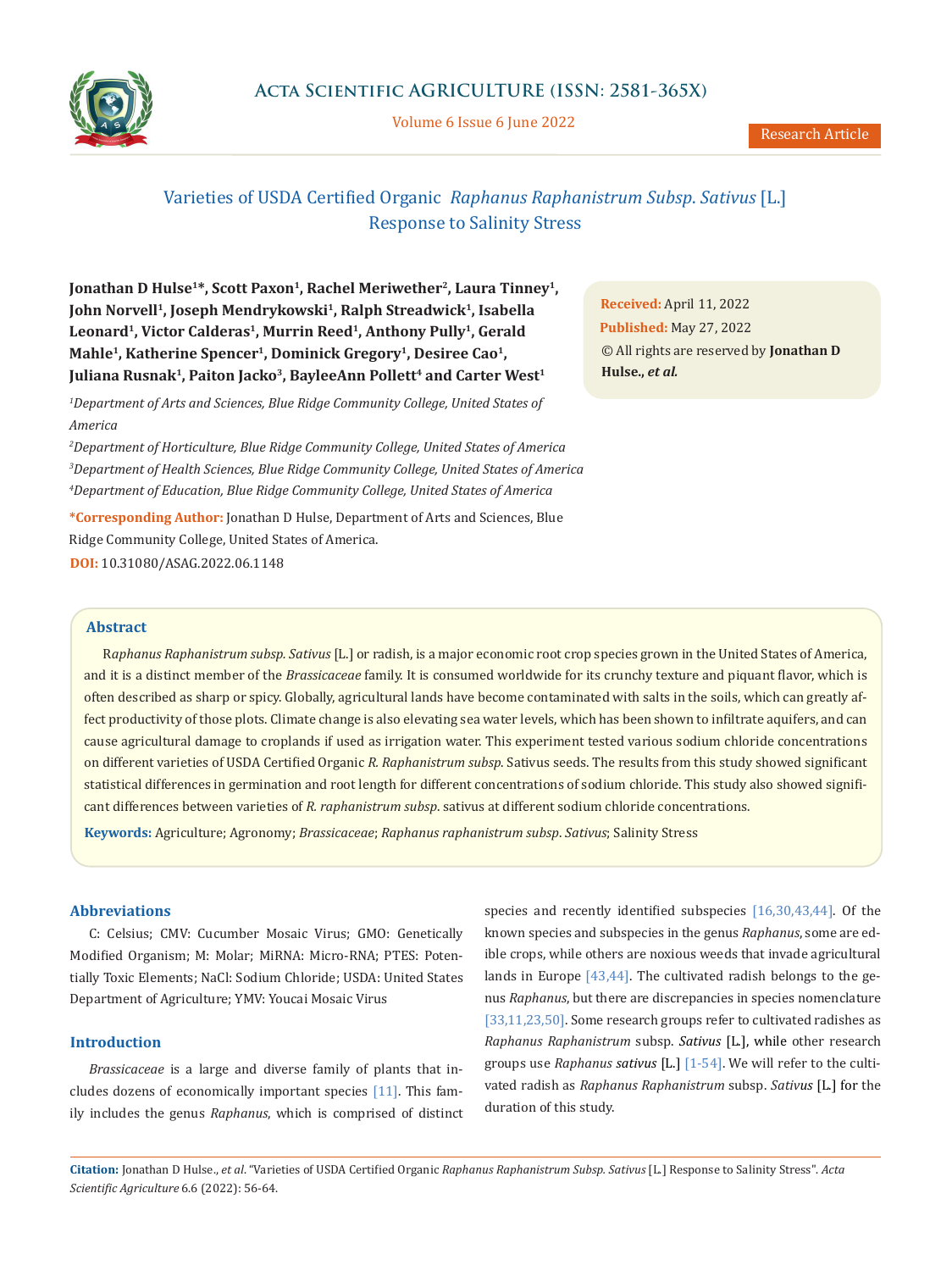

Volume 6 Issue 6 June 2022

# Varieties of USDA Certified Organic *Raphanus Raphanistrum Subsp*. *Sativus* [L.] Response to Salinity Stress

**Jonathan D Hulse<sup>1\*</sup>, Scott Paxon<sup>1</sup>, Rachel Meriwether<sup>2</sup>, Laura Tinney<sup>1</sup>,** John Norvell<sup>1</sup>, Joseph Mendrykowski<sup>1</sup>, Ralph Streadwick<sup>1</sup>, Isabella Leonard<sup>1</sup>, Victor Calderas<sup>1</sup>, Murrin Reed<sup>1</sup>, Anthony Pully<sup>1</sup>, Gerald Mahle<sup>1</sup>, Katherine Spencer<sup>1</sup>, Dominick Gregory<sup>1</sup>, Desiree Cao<sup>1</sup>, Juliana Rusnak<sup>1</sup>, Paiton Jacko<sup>3</sup>, BayleeAnn Pollett<sup>4</sup> and Carter West<sup>1</sup>

*1 Department of Arts and Sciences, Blue Ridge Community College, United States of America*

*2 Department of Horticulture, Blue Ridge Community College, United States of America 3 Department of Health Sciences, Blue Ridge Community College, United States of America 4 Department of Education, Blue Ridge Community College, United States of America* 

**\*Corresponding Author:** Jonathan D Hulse, Department of Arts and Sciences, Blue Ridge Community College, United States of America. **DOI:** 10.31080/ASAG.2022.06.1148

**Received:** April 11, 2022 **Published:** May 27, 2022 © All rights are reserved by **Jonathan D Hulse.,** *et al.*

## **Abstract**

R*aphanus Raphanistrum subsp. Sativus* [L.] or radish, is a major economic root crop species grown in the United States of America, and it is a distinct member of the *Brassicaceae* family. It is consumed worldwide for its crunchy texture and piquant flavor, which is often described as sharp or spicy. Globally, agricultural lands have become contaminated with salts in the soils, which can greatly affect productivity of those plots. Climate change is also elevating sea water levels, which has been shown to infiltrate aquifers, and can cause agricultural damage to croplands if used as irrigation water. This experiment tested various sodium chloride concentrations on different varieties of USDA Certified Organic *R. Raphanistrum subsp*. Sativus seeds. The results from this study showed significant statistical differences in germination and root length for different concentrations of sodium chloride. This study also showed significant differences between varieties of *R. raphanistrum subsp*. sativus at different sodium chloride concentrations.

**Keywords:** Agriculture; Agronomy; *Brassicaceae*; *Raphanus raphanistrum subsp*. *Sativus*; Salinity Stress

#### **Abbreviations**

C: Celsius; CMV: Cucumber Mosaic Virus; GMO: Genetically Modified Organism; M: Molar; MiRNA: Micro-RNA; PTES: Potentially Toxic Elements; NaCl: Sodium Chloride; USDA: United States Department of Agriculture; YMV: Youcai Mosaic Virus

# **Introduction**

*Brassicaceae* is a large and diverse family of plants that includes dozens of economically important species [11]. This family includes the genus *Raphanus*, which is comprised of distinct species and recently identified subspecies [16,30,43,44]. Of the known species and subspecies in the genus *Raphanus*, some are edible crops, while others are noxious weeds that invade agricultural lands in Europe [43,44]. The cultivated radish belongs to the genus *Raphanus*, but there are discrepancies in species nomenclature [33,11,23,50]. Some research groups refer to cultivated radishes as *Raphanus Raphanistrum* subsp. *Sativus* [L.], while other research groups use *Raphanus sativus* [L.] [1-54]. We will refer to the cultivated radish as *Raphanus Raphanistrum* subsp. *Sativus* [L.] for the duration of this study.

**Citation:** Jonathan D Hulse., *et al*. "Varieties of USDA Certified Organic *Raphanus Raphanistrum Subsp. Sativus* [L.] Response to Salinity Stress". *Acta Scientific Agriculture* 6.6 (2022): 56-64.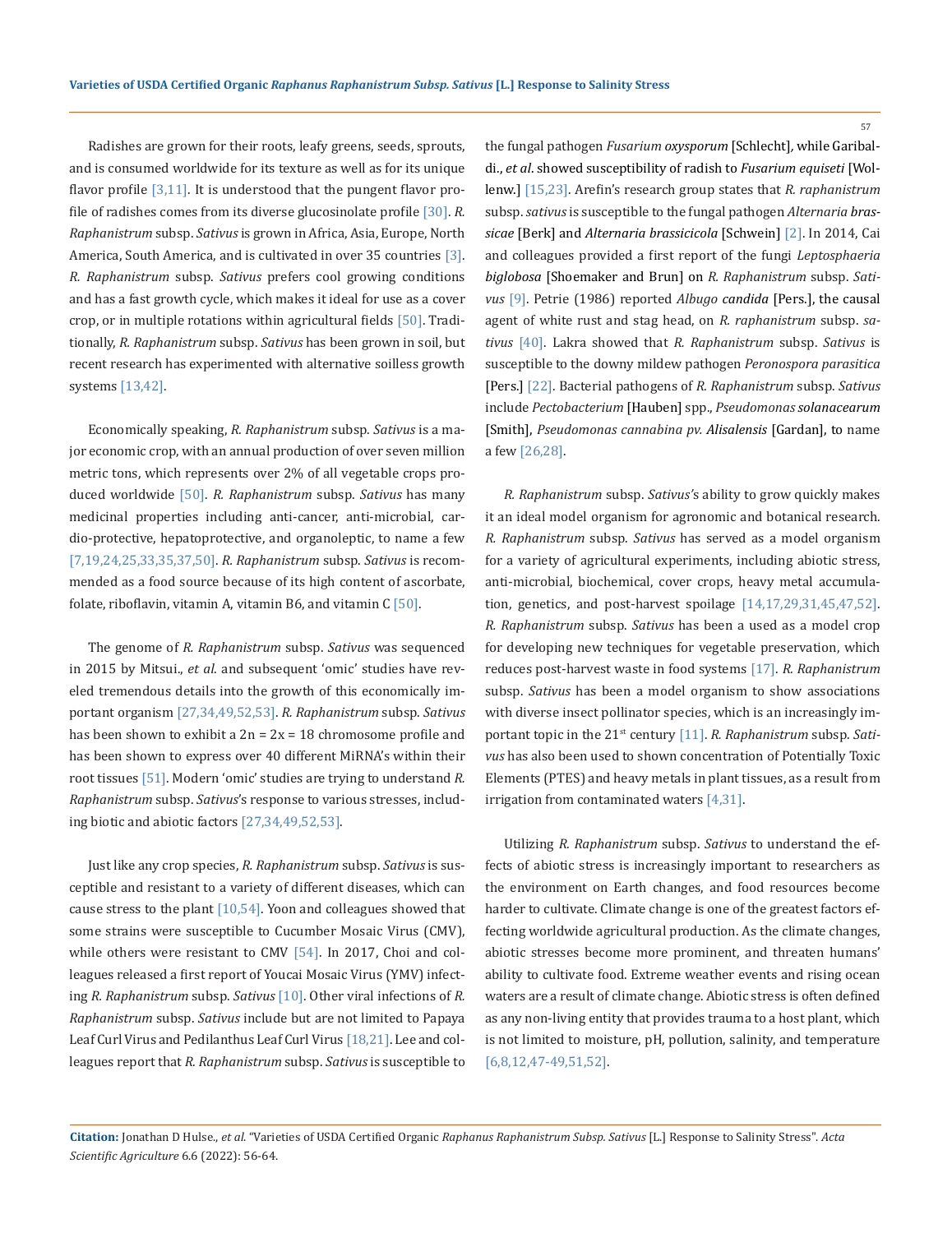Radishes are grown for their roots, leafy greens, seeds, sprouts, and is consumed worldwide for its texture as well as for its unique flavor profile  $\left[3,11\right]$ . It is understood that the pungent flavor profile of radishes comes from its diverse glucosinolate profile [30]. *R. Raphanistrum* subsp. *Sativus* is grown in Africa, Asia, Europe, North America, South America, and is cultivated in over 35 countries [3]. *R. Raphanistrum* subsp. *Sativus* prefers cool growing conditions and has a fast growth cycle, which makes it ideal for use as a cover crop, or in multiple rotations within agricultural fields [50]. Traditionally, *R. Raphanistrum* subsp. *Sativus* has been grown in soil, but recent research has experimented with alternative soilless growth systems [13,42].

Economically speaking, *R. Raphanistrum* subsp. *Sativus* is a major economic crop, with an annual production of over seven million metric tons, which represents over 2% of all vegetable crops produced worldwide [50]. *R. Raphanistrum* subsp. *Sativus* has many medicinal properties including anti-cancer, anti-microbial, cardio-protective, hepatoprotective, and organoleptic, to name a few [7,19,24,25,33,35,37,50]. *R. Raphanistrum* subsp. *Sativus* is recommended as a food source because of its high content of ascorbate, folate, riboflavin, vitamin A, vitamin B6, and vitamin  $C$  [50].

The genome of *R. Raphanistrum* subsp. *Sativus* was sequenced in 2015 by Mitsui., *et al*. and subsequent 'omic' studies have reveled tremendous details into the growth of this economically important organism [27,34,49,52,53]. *R. Raphanistrum* subsp. *Sativus*  has been shown to exhibit a  $2n = 2x = 18$  chromosome profile and has been shown to express over 40 different MiRNA's within their root tissues [51]. Modern 'omic' studies are trying to understand *R. Raphanistrum* subsp. *Sativus*'s response to various stresses, including biotic and abiotic factors [27,34,49,52,53].

Just like any crop species, *R. Raphanistrum* subsp. *Sativus* is susceptible and resistant to a variety of different diseases, which can cause stress to the plant [10,54]. Yoon and colleagues showed that some strains were susceptible to Cucumber Mosaic Virus (CMV), while others were resistant to CMV [54]. In 2017, Choi and colleagues released a first report of Youcai Mosaic Virus (YMV) infecting *R. Raphanistrum* subsp. *Sativus* [10]. Other viral infections of *R. Raphanistrum* subsp. *Sativus* include but are not limited to Papaya Leaf Curl Virus and Pedilanthus Leaf Curl Virus [18,21]. Lee and colleagues report that *R. Raphanistrum* subsp. *Sativus* is susceptible to the fungal pathogen *Fusarium oxysporum* [Schlecht]*,* while Garibaldi., *et al*. showed susceptibility of radish to *Fusarium equiseti* [Wollenw.] [15,23]. Arefin's research group states that *R. raphanistrum* subsp. *sativus* is susceptible to the fungal pathogen *Alternaria brassicae* [Berk] and *Alternaria brassicicola* [Schwein] [2]. In 2014, Cai and colleagues provided a first report of the fungi *Leptosphaeria biglobosa* [Shoemaker and Brun] on *R. Raphanistrum* subsp. *Sativus* [9]. Petrie (1986) reported *Albugo candida* [Pers.], the causal agent of white rust and stag head, on *R. raphanistrum* subsp. *sativus* [40]. Lakra showed that *R. Raphanistrum* subsp. *Sativus* is susceptible to the downy mildew pathogen *Peronospora parasitica* [Pers.] [22]. Bacterial pathogens of *R. Raphanistrum* subsp. *Sativus*  include *Pectobacterium* [Hauben] spp., *Pseudomonas solanacearum*  [Smith], *Pseudomonas cannabina pv. Alisalensis* [Gardan], to name a few [26,28].

*R. Raphanistrum* subsp. *Sativus'*s ability to grow quickly makes it an ideal model organism for agronomic and botanical research. *R. Raphanistrum* subsp. *Sativus* has served as a model organism for a variety of agricultural experiments, including abiotic stress, anti-microbial, biochemical, cover crops, heavy metal accumulation, genetics, and post-harvest spoilage [14,17,29,31,45,47,52]. *R. Raphanistrum* subsp. *Sativus* has been a used as a model crop for developing new techniques for vegetable preservation, which reduces post-harvest waste in food systems [17]. *R. Raphanistrum*  subsp. *Sativus* has been a model organism to show associations with diverse insect pollinator species, which is an increasingly important topic in the 21<sup>st</sup> century [11]. *R. Raphanistrum* subsp. Sati*vus* has also been used to shown concentration of Potentially Toxic Elements (PTES) and heavy metals in plant tissues, as a result from irrigation from contaminated waters [4,31].

Utilizing *R. Raphanistrum* subsp. *Sativus* to understand the effects of abiotic stress is increasingly important to researchers as the environment on Earth changes, and food resources become harder to cultivate. Climate change is one of the greatest factors effecting worldwide agricultural production. As the climate changes, abiotic stresses become more prominent, and threaten humans' ability to cultivate food. Extreme weather events and rising ocean waters are a result of climate change. Abiotic stress is often defined as any non-living entity that provides trauma to a host plant, which is not limited to moisture, pH, pollution, salinity, and temperature [6,8,12,47-49,51,52].

**Citation:** Jonathan D Hulse., *et al*. "Varieties of USDA Certified Organic *Raphanus Raphanistrum Subsp. Sativus* [L.] Response to Salinity Stress". *Acta Scientific Agriculture* 6.6 (2022): 56-64.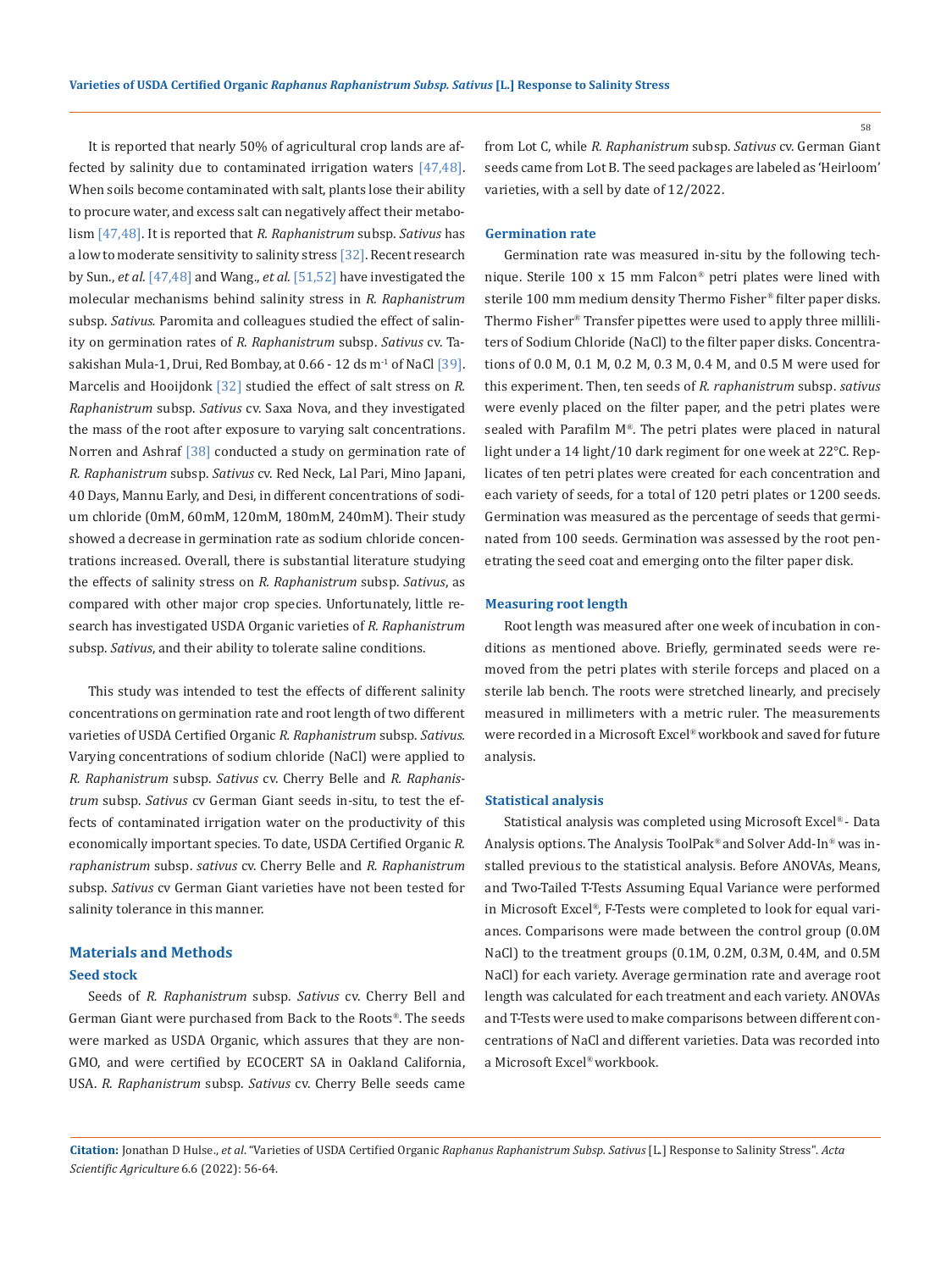It is reported that nearly 50% of agricultural crop lands are affected by salinity due to contaminated irrigation waters [47,48]. When soils become contaminated with salt, plants lose their ability to procure water, and excess salt can negatively affect their metabolism [47,48]. It is reported that *R. Raphanistrum* subsp. *Sativus* has a low to moderate sensitivity to salinity stress [32]. Recent research by Sun., *et al*. [47,48] and Wang., *et al.* [51,52] have investigated the molecular mechanisms behind salinity stress in *R. Raphanistrum* subsp. *Sativus.* Paromita and colleagues studied the effect of salinity on germination rates of *R. Raphanistrum* subsp. *Sativus* cv. Tasakishan Mula-1, Drui, Red Bombay, at  $0.66 - 12$  ds  $m<sup>-1</sup>$  of NaCl [39]. Marcelis and Hooijdonk [32] studied the effect of salt stress on *R. Raphanistrum* subsp. *Sativus* cv. Saxa Nova, and they investigated the mass of the root after exposure to varying salt concentrations. Norren and Ashraf [38] conducted a study on germination rate of *R. Raphanistrum* subsp. *Sativus* cv. Red Neck, Lal Pari, Mino Japani, 40 Days, Mannu Early, and Desi, in different concentrations of sodium chloride (0mM, 60mM, 120mM, 180mM, 240mM). Their study showed a decrease in germination rate as sodium chloride concentrations increased. Overall, there is substantial literature studying the effects of salinity stress on *R. Raphanistrum* subsp. *Sativus*, as compared with other major crop species. Unfortunately, little research has investigated USDA Organic varieties of *R. Raphanistrum* subsp. *Sativus*, and their ability to tolerate saline conditions.

This study was intended to test the effects of different salinity concentrations on germination rate and root length of two different varieties of USDA Certified Organic *R. Raphanistrum* subsp. *Sativus.*  Varying concentrations of sodium chloride (NaCl) were applied to *R. Raphanistrum* subsp. *Sativus* cv. Cherry Belle and *R. Raphanistrum* subsp. *Sativus* cv German Giant seeds in-situ, to test the effects of contaminated irrigation water on the productivity of this economically important species. To date, USDA Certified Organic *R. raphanistrum* subsp. *sativus* cv. Cherry Belle and *R. Raphanistrum* subsp. *Sativus* cv German Giant varieties have not been tested for salinity tolerance in this manner.

# **Materials and Methods**

## **Seed stock**

Seeds of *R. Raphanistrum* subsp. *Sativus* cv. Cherry Bell and German Giant were purchased from Back to the Roots*®*. The seeds were marked as USDA Organic, which assures that they are non-GMO, and were certified by ECOCERT SA in Oakland California, USA. *R. Raphanistrum* subsp. *Sativus* cv. Cherry Belle seeds came

from Lot C, while *R. Raphanistrum* subsp. *Sativus* cv. German Giant seeds came from Lot B. The seed packages are labeled as 'Heirloom' varieties, with a sell by date of 12/2022.

#### **Germination rate**

Germination rate was measured in-situ by the following technique. Sterile 100 x 15 mm Falcon*®* petri plates were lined with sterile 100 mm medium density Thermo Fisher*®* filter paper disks. Thermo Fisher*®* Transfer pipettes were used to apply three milliliters of Sodium Chloride (NaCl) to the filter paper disks. Concentrations of 0.0 M, 0.1 M, 0.2 M, 0.3 M, 0.4 M, and 0.5 M were used for this experiment. Then, ten seeds of *R. raphanistrum* subsp. *sativus* were evenly placed on the filter paper, and the petri plates were sealed with Parafilm M*®*. The petri plates were placed in natural light under a 14 light/10 dark regiment for one week at 22°C. Replicates of ten petri plates were created for each concentration and each variety of seeds, for a total of 120 petri plates or 1200 seeds. Germination was measured as the percentage of seeds that germinated from 100 seeds. Germination was assessed by the root penetrating the seed coat and emerging onto the filter paper disk.

#### **Measuring root length**

Root length was measured after one week of incubation in conditions as mentioned above. Briefly, germinated seeds were removed from the petri plates with sterile forceps and placed on a sterile lab bench. The roots were stretched linearly, and precisely measured in millimeters with a metric ruler. The measurements were recorded in a Microsoft Excel*®* workbook and saved for future analysis.

#### **Statistical analysis**

Statistical analysis was completed using Microsoft Excel*®* - Data Analysis options. The Analysis ToolPak*®* and Solver Add-In*®* was installed previous to the statistical analysis. Before ANOVAs, Means, and Two-Tailed T-Tests Assuming Equal Variance were performed in Microsoft Excel*®*, F-Tests were completed to look for equal variances. Comparisons were made between the control group (0.0M NaCl) to the treatment groups (0.1M, 0.2M, 0.3M, 0.4M, and 0.5M NaCl) for each variety. Average germination rate and average root length was calculated for each treatment and each variety. ANOVAs and T-Tests were used to make comparisons between different concentrations of NaCl and different varieties. Data was recorded into a Microsoft Excel*®* workbook.

**Citation:** Jonathan D Hulse., *et al*. "Varieties of USDA Certified Organic *Raphanus Raphanistrum Subsp. Sativus* [L.] Response to Salinity Stress". *Acta Scientific Agriculture* 6.6 (2022): 56-64.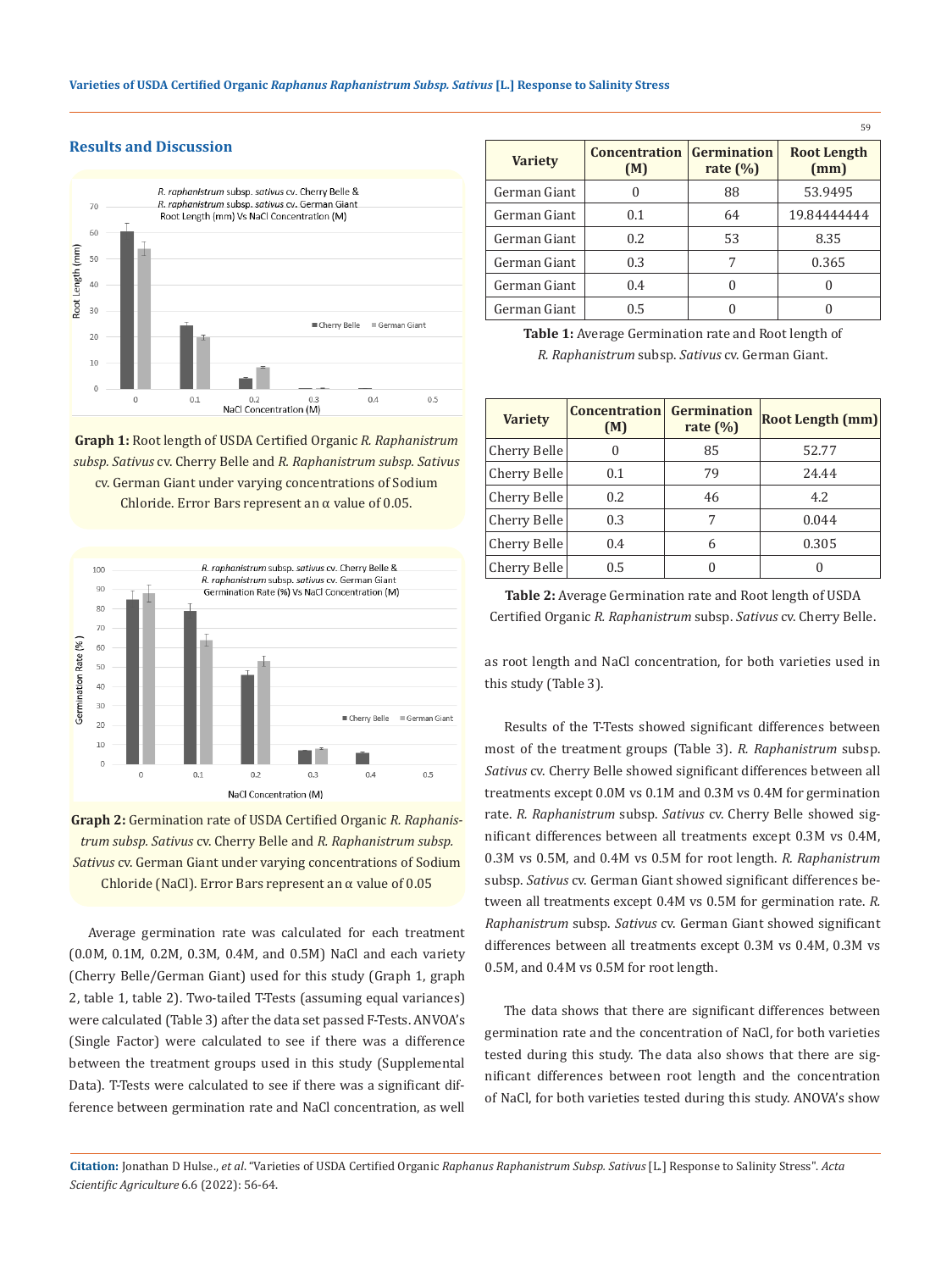# **Results and Discussion**



**Graph 1:** Root length of USDA Certified Organic *R. Raphanistrum subsp. Sativus* cv. Cherry Belle and *R. Raphanistrum subsp. Sativus*  cv. German Giant under varying concentrations of Sodium Chloride. Error Bars represent an  $\alpha$  value of 0.05.



**Graph 2:** Germination rate of USDA Certified Organic *R. Raphanistrum subsp. Sativus* cv. Cherry Belle and *R. Raphanistrum subsp. Sativus* cv. German Giant under varying concentrations of Sodium Chloride (NaCl). Error Bars represent an  $\alpha$  value of 0.05

Average germination rate was calculated for each treatment (0.0M, 0.1M, 0.2M, 0.3M, 0.4M, and 0.5M) NaCl and each variety (Cherry Belle/German Giant) used for this study (Graph 1, graph 2, table 1, table 2). Two-tailed T-Tests (assuming equal variances) were calculated (Table 3) after the data set passed F-Tests. ANVOA's (Single Factor) were calculated to see if there was a difference between the treatment groups used in this study (Supplemental Data). T-Tests were calculated to see if there was a significant difference between germination rate and NaCl concentration, as well

| <b>Variety</b> | <b>Concentration Germination</b><br>(M) | rate $(\% )$ | <b>Root Length</b><br>(mm) |
|----------------|-----------------------------------------|--------------|----------------------------|
| German Giant   | 0                                       | 88           | 53.9495                    |
| German Giant   | 0.1                                     | 64           | 19.84444444                |
| German Giant   | 0.2.                                    | 53           | 8.35                       |
| German Giant   | 0.3                                     | 7            | 0.365                      |
| German Giant   | 0.4                                     | 0            |                            |
| German Giant   | 0.5                                     |              |                            |

59

**Table 1:** Average Germination rate and Root length of *R. Raphanistrum* subsp. *Sativus* cv. German Giant.

| <b>Variety</b> | <b>Concentration</b><br>(M) | Germination<br>rate $(\%)$ | <b>Root Length (mm)</b> |
|----------------|-----------------------------|----------------------------|-------------------------|
| Cherry Belle   | 0                           | 85                         | 52.77                   |
| Cherry Belle   | 0.1                         | 79                         | 24.44                   |
| Cherry Belle   | 0.2                         | 46                         | 4.2                     |
| Cherry Belle   | 0.3                         | 7                          | 0.044                   |
| Cherry Belle   | 0.4                         | 6                          | 0.305                   |
| Cherry Belle   | 0.5                         | U                          |                         |

**Table 2:** Average Germination rate and Root length of USDA Certified Organic *R. Raphanistrum* subsp. *Sativus* cv. Cherry Belle.

as root length and NaCl concentration, for both varieties used in this study (Table 3).

Results of the T-Tests showed significant differences between most of the treatment groups (Table 3). *R. Raphanistrum* subsp. *Sativus* cv. Cherry Belle showed significant differences between all treatments except 0.0M vs 0.1M and 0.3M vs 0.4M for germination rate. *R. Raphanistrum* subsp. *Sativus* cv. Cherry Belle showed significant differences between all treatments except 0.3M vs 0.4M, 0.3M vs 0.5M, and 0.4M vs 0.5M for root length. *R. Raphanistrum* subsp. *Sativus* cv. German Giant showed significant differences between all treatments except 0.4M vs 0.5M for germination rate. *R. Raphanistrum* subsp. *Sativus* cv. German Giant showed significant differences between all treatments except 0.3M vs 0.4M, 0.3M vs 0.5M, and 0.4M vs 0.5M for root length.

The data shows that there are significant differences between germination rate and the concentration of NaCl, for both varieties tested during this study. The data also shows that there are significant differences between root length and the concentration of NaCl, for both varieties tested during this study. ANOVA's show

**Citation:** Jonathan D Hulse., *et al*. "Varieties of USDA Certified Organic *Raphanus Raphanistrum Subsp. Sativus* [L.] Response to Salinity Stress". *Acta Scientific Agriculture* 6.6 (2022): 56-64.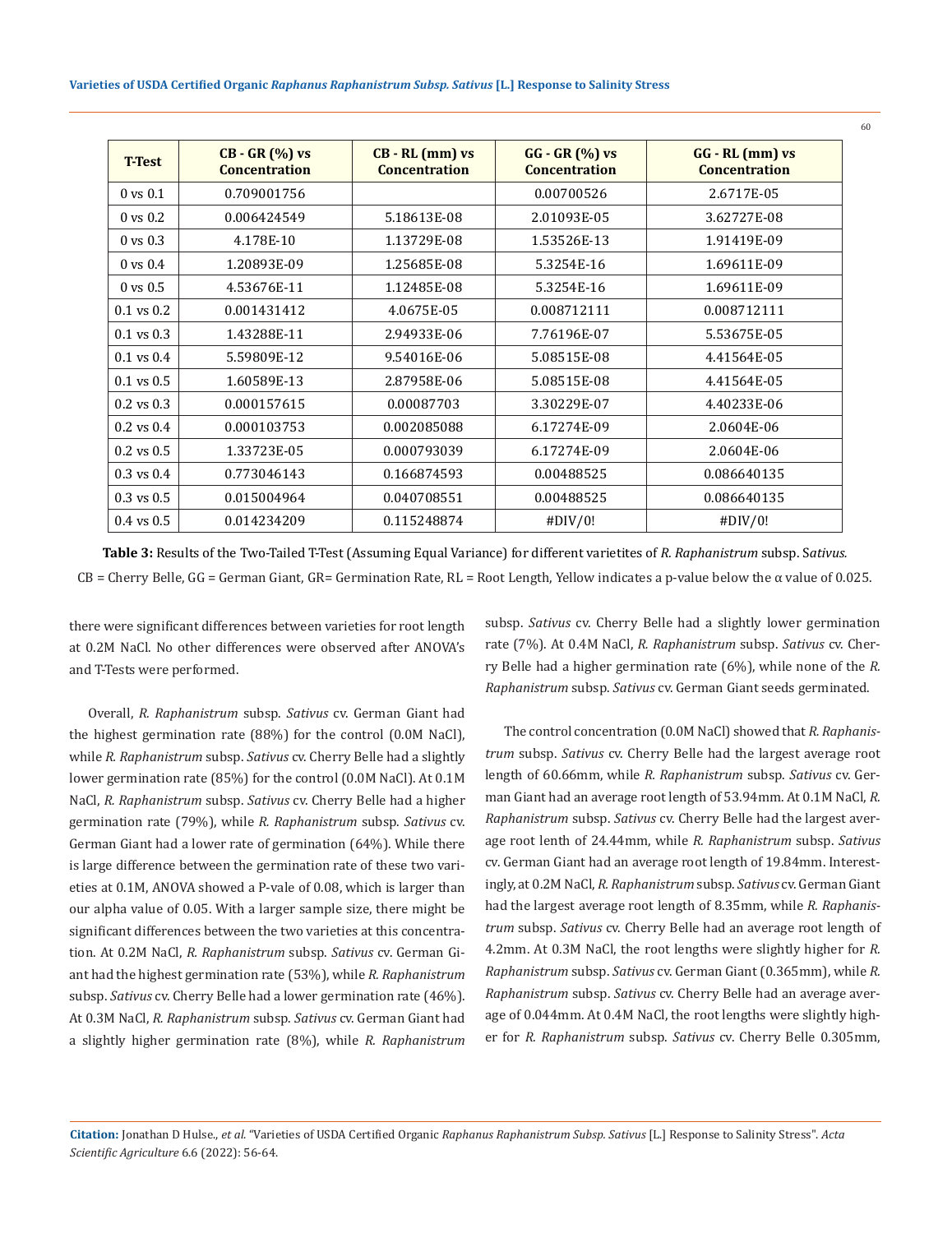| <b>T-Test</b>       | $CB - GR (%) vs$<br><b>Concentration</b> | $CB - RL$ (mm) vs<br><b>Concentration</b> | $GG - GR (%) vs$<br><b>Concentration</b> | $GG - RL$ (mm) $vs$<br><b>Concentration</b> |
|---------------------|------------------------------------------|-------------------------------------------|------------------------------------------|---------------------------------------------|
| $0 \text{ vs } 0.1$ | 0.709001756                              |                                           | 0.00700526                               | 2.6717E-05                                  |
| $0 \text{ vs } 0.2$ | 0.006424549                              | 5.18613E-08                               | 2.01093E-05                              | 3.62727E-08                                 |
| $0 \text{ vs } 0.3$ | 4.178E-10                                | 1.13729E-08                               | 1.53526E-13                              | 1.91419E-09                                 |
| $0 \text{ vs } 0.4$ | 1.20893E-09                              | 1.25685E-08                               | 5.3254E-16                               | 1.69611E-09                                 |
| $0 \text{ vs } 0.5$ | 4.53676E-11                              | 1.12485E-08                               | 5.3254E-16                               | 1.69611E-09                                 |
| $0.1$ vs $0.2$      | 0.001431412                              | 4.0675E-05                                | 0.008712111                              | 0.008712111                                 |
| $0.1$ vs $0.3$      | 1.43288E-11                              | 2.94933E-06                               | 7.76196E-07                              | 5.53675E-05                                 |
| $0.1$ vs $0.4$      | 5.59809E-12                              | 9.54016E-06                               | 5.08515E-08                              | 4.41564E-05                                 |
| $0.1$ vs $0.5$      | 1.60589E-13                              | 2.87958E-06                               | 5.08515E-08                              | 4.41564E-05                                 |
| $0.2$ vs $0.3$      | 0.000157615                              | 0.00087703                                | 3.30229E-07                              | 4.40233E-06                                 |
| $0.2$ vs $0.4$      | 0.000103753                              | 0.002085088                               | 6.17274E-09                              | 2.0604E-06                                  |
| $0.2$ vs $0.5$      | 1.33723E-05                              | 0.000793039                               | 6.17274E-09                              | 2.0604E-06                                  |
| $0.3$ vs $0.4$      | 0.773046143                              | 0.166874593                               | 0.00488525                               | 0.086640135                                 |
| $0.3$ vs $0.5$      | 0.015004964                              | 0.040708551                               | 0.00488525                               | 0.086640135                                 |
| $0.4$ vs $0.5$      | 0.014234209                              | 0.115248874                               | #DIV/0!                                  | #DIV/0!                                     |

**Table 3:** Results of the Two-Tailed T-Test (Assuming Equal Variance) for different varietites of *R. Raphanistrum* subsp. S*ativus.*   $CB =$  Cherry Belle, GG = German Giant, GR= Germination Rate, RL = Root Length, Yellow indicates a p-value below the  $\alpha$  value of 0.025.

there were significant differences between varieties for root length at 0.2M NaCl. No other differences were observed after ANOVA's and T-Tests were performed.

Overall, *R. Raphanistrum* subsp. *Sativus* cv. German Giant had the highest germination rate (88%) for the control (0.0M NaCl), while *R. Raphanistrum* subsp. *Sativus* cv. Cherry Belle had a slightly lower germination rate (85%) for the control (0.0M NaCl). At 0.1M NaCl, *R. Raphanistrum* subsp. *Sativus* cv. Cherry Belle had a higher germination rate (79%), while *R. Raphanistrum* subsp. *Sativus* cv. German Giant had a lower rate of germination (64%). While there is large difference between the germination rate of these two varieties at 0.1M, ANOVA showed a P-vale of 0.08, which is larger than our alpha value of 0.05. With a larger sample size, there might be significant differences between the two varieties at this concentration. At 0.2M NaCl, *R. Raphanistrum* subsp. *Sativus* cv. German Giant had the highest germination rate (53%), while *R. Raphanistrum* subsp. *Sativus* cv. Cherry Belle had a lower germination rate (46%). At 0.3M NaCl, *R. Raphanistrum* subsp. *Sativus* cv. German Giant had a slightly higher germination rate (8%), while *R. Raphanistrum* subsp. *Sativus* cv. Cherry Belle had a slightly lower germination rate (7%). At 0.4M NaCl, *R. Raphanistrum* subsp. *Sativus* cv. Cherry Belle had a higher germination rate (6%), while none of the *R. Raphanistrum* subsp. *Sativus* cv. German Giant seeds germinated.

The control concentration (0.0M NaCl) showed that *R. Raphanistrum* subsp. *Sativus* cv. Cherry Belle had the largest average root length of 60.66mm, while *R. Raphanistrum* subsp. *Sativus* cv. German Giant had an average root length of 53.94mm. At 0.1M NaCl, *R. Raphanistrum* subsp. *Sativus* cv. Cherry Belle had the largest average root lenth of 24.44mm, while *R. Raphanistrum* subsp. *Sativus* cv. German Giant had an average root length of 19.84mm. Interestingly, at 0.2M NaCl, *R. Raphanistrum* subsp. *Sativus* cv. German Giant had the largest average root length of 8.35mm, while *R. Raphanistrum* subsp. *Sativus* cv. Cherry Belle had an average root length of 4.2mm. At 0.3M NaCl, the root lengths were slightly higher for *R. Raphanistrum* subsp. *Sativus* cv. German Giant (0.365mm), while *R. Raphanistrum* subsp. *Sativus* cv. Cherry Belle had an average average of 0.044mm. At 0.4M NaCl, the root lengths were slightly higher for *R. Raphanistrum* subsp. *Sativus* cv. Cherry Belle 0.305mm,

**Citation:** Jonathan D Hulse., *et al*. "Varieties of USDA Certified Organic *Raphanus Raphanistrum Subsp. Sativus* [L.] Response to Salinity Stress". *Acta Scientific Agriculture* 6.6 (2022): 56-64.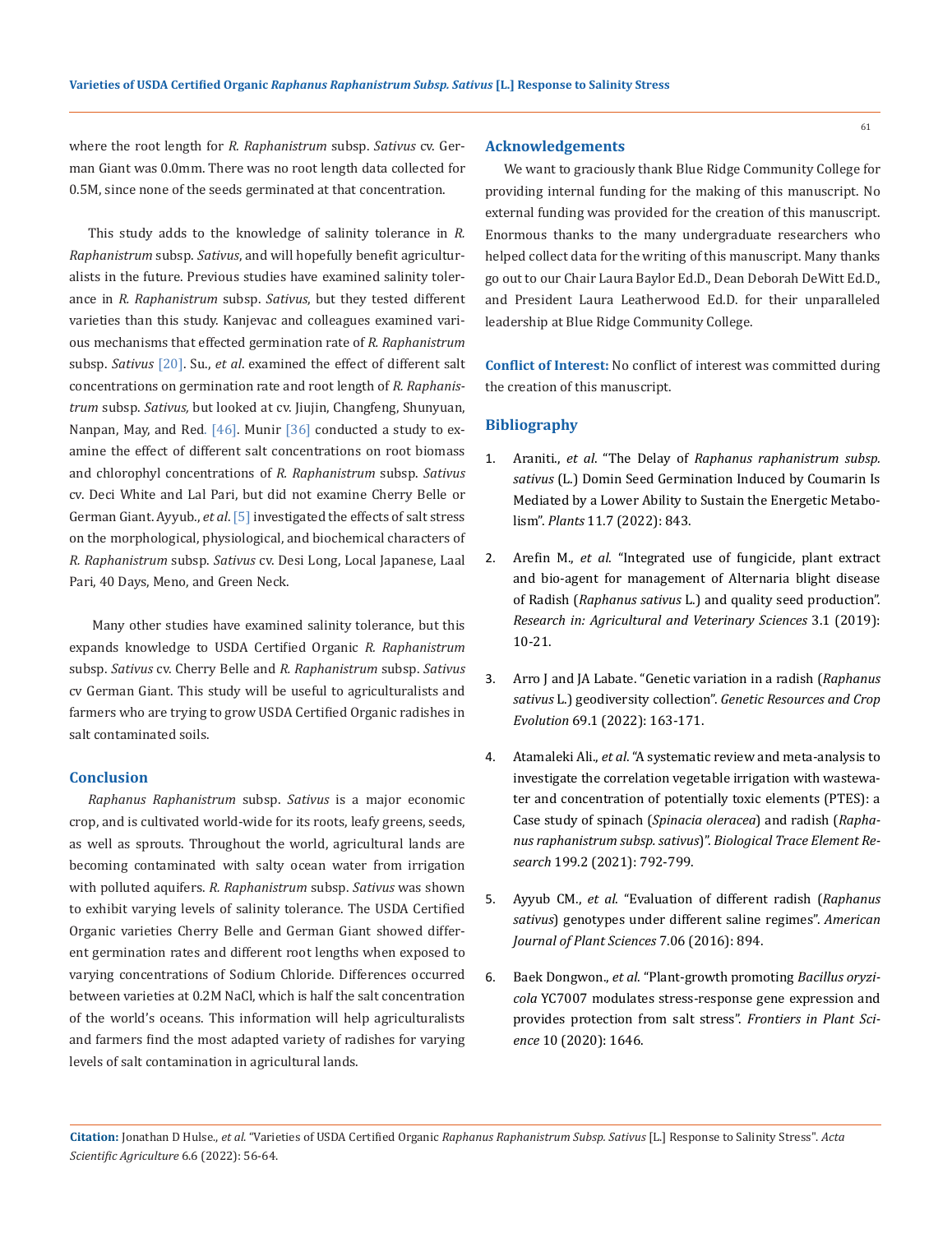where the root length for *R. Raphanistrum* subsp. *Sativus* cv. German Giant was 0.0mm. There was no root length data collected for 0.5M, since none of the seeds germinated at that concentration.

This study adds to the knowledge of salinity tolerance in *R. Raphanistrum* subsp. *Sativus*, and will hopefully benefit agriculturalists in the future. Previous studies have examined salinity tolerance in *R. Raphanistrum* subsp. *Sativus*, but they tested different varieties than this study. Kanjevac and colleagues examined various mechanisms that effected germination rate of *R. Raphanistrum*  subsp. *Sativus* [20]. Su., *et al*. examined the effect of different salt concentrations on germination rate and root length of *R. Raphanistrum* subsp. *Sativus,* but looked at cv. Jiujin, Changfeng, Shunyuan, Nanpan, May, and Red. [46]. Munir [36] conducted a study to examine the effect of different salt concentrations on root biomass and chlorophyl concentrations of *R. Raphanistrum* subsp. *Sativus*  cv. Deci White and Lal Pari, but did not examine Cherry Belle or German Giant. Ayyub., *et al*. [5] investigated the effects of salt stress on the morphological, physiological, and biochemical characters of *R. Raphanistrum* subsp. *Sativus* cv. Desi Long, Local Japanese, Laal Pari, 40 Days, Meno, and Green Neck.

 Many other studies have examined salinity tolerance, but this expands knowledge to USDA Certified Organic *R. Raphanistrum* subsp. *Sativus* cv. Cherry Belle and *R. Raphanistrum* subsp. *Sativus* cv German Giant. This study will be useful to agriculturalists and farmers who are trying to grow USDA Certified Organic radishes in salt contaminated soils.

## **Conclusion**

*Raphanus Raphanistrum* subsp. *Sativus* is a major economic crop, and is cultivated world-wide for its roots, leafy greens, seeds, as well as sprouts. Throughout the world, agricultural lands are becoming contaminated with salty ocean water from irrigation with polluted aquifers. *R. Raphanistrum* subsp. *Sativus* was shown to exhibit varying levels of salinity tolerance. The USDA Certified Organic varieties Cherry Belle and German Giant showed different germination rates and different root lengths when exposed to varying concentrations of Sodium Chloride. Differences occurred between varieties at 0.2M NaCl, which is half the salt concentration of the world's oceans. This information will help agriculturalists and farmers find the most adapted variety of radishes for varying levels of salt contamination in agricultural lands.

#### **Acknowledgements**

We want to graciously thank Blue Ridge Community College for providing internal funding for the making of this manuscript. No external funding was provided for the creation of this manuscript. Enormous thanks to the many undergraduate researchers who helped collect data for the writing of this manuscript. Many thanks go out to our Chair Laura Baylor Ed.D., Dean Deborah DeWitt Ed.D., and President Laura Leatherwood Ed.D. for their unparalleled leadership at Blue Ridge Community College.

**Conflict of Interest:** No conflict of interest was committed during the creation of this manuscript.

### **Bibliography**

- 1. Araniti., *et al*. "The Delay of *[Raphanus raphanistrum subsp.](https://pubmed.ncbi.nlm.nih.gov/35406823/)  sativus* [\(L.\) Domin Seed Germination Induced by Coumarin Is](https://pubmed.ncbi.nlm.nih.gov/35406823/)  [Mediated by a Lower Ability to Sustain the Energetic Metabo](https://pubmed.ncbi.nlm.nih.gov/35406823/)lism". *Plants* [11.7 \(2022\): 843.](https://pubmed.ncbi.nlm.nih.gov/35406823/)
- 2. Arefin M., *et al*[. "Integrated use of fungicide, plant extract](https://www.researchgate.net/publication/332130639_INTEGRATED_USE_OF_FUNGICIDE_PLANT_EXTRACT_AND_BIO-AGENT_FOR_MANAGEMENT_OF_ALTERNARIA_BLIGHT_DISEASE_OF_RADISH_Raphanus_sativus_L_AND_QUALITY_SEED_PRODUCTION)  [and bio-agent for management of Alternaria blight disease](https://www.researchgate.net/publication/332130639_INTEGRATED_USE_OF_FUNGICIDE_PLANT_EXTRACT_AND_BIO-AGENT_FOR_MANAGEMENT_OF_ALTERNARIA_BLIGHT_DISEASE_OF_RADISH_Raphanus_sativus_L_AND_QUALITY_SEED_PRODUCTION)  of Radish (*Raphanus sativus* [L.\) and quality seed production".](https://www.researchgate.net/publication/332130639_INTEGRATED_USE_OF_FUNGICIDE_PLANT_EXTRACT_AND_BIO-AGENT_FOR_MANAGEMENT_OF_ALTERNARIA_BLIGHT_DISEASE_OF_RADISH_Raphanus_sativus_L_AND_QUALITY_SEED_PRODUCTION)  *[Research in: Agricultural and Veterinary Sciences](https://www.researchgate.net/publication/332130639_INTEGRATED_USE_OF_FUNGICIDE_PLANT_EXTRACT_AND_BIO-AGENT_FOR_MANAGEMENT_OF_ALTERNARIA_BLIGHT_DISEASE_OF_RADISH_Raphanus_sativus_L_AND_QUALITY_SEED_PRODUCTION)* 3.1 (2019): [10-21.](https://www.researchgate.net/publication/332130639_INTEGRATED_USE_OF_FUNGICIDE_PLANT_EXTRACT_AND_BIO-AGENT_FOR_MANAGEMENT_OF_ALTERNARIA_BLIGHT_DISEASE_OF_RADISH_Raphanus_sativus_L_AND_QUALITY_SEED_PRODUCTION)
- 3. [Arro J and JA Labate. "Genetic variation in a radish \(](https://link.springer.com/article/10.1007/s10722-021-01212-6)*Raphanus sativus* L.) geodiversity collection". *[Genetic Resources and Crop](https://link.springer.com/article/10.1007/s10722-021-01212-6)  Evolution* [69.1 \(2022\): 163-171.](https://link.springer.com/article/10.1007/s10722-021-01212-6)
- 4. Atamaleki Ali., *et al*[. "A systematic review and meta-analysis to](https://link.springer.com/article/10.1007/s12011-020-02181-0)  [investigate the correlation vegetable irrigation with wastewa](https://link.springer.com/article/10.1007/s12011-020-02181-0)[ter and concentration of potentially toxic elements \(PTES\): a](https://link.springer.com/article/10.1007/s12011-020-02181-0)  [Case study of spinach \(](https://link.springer.com/article/10.1007/s12011-020-02181-0)*Spinacia oleracea*) and radish (*Rapha[nus raphanistrum subsp. sativus](https://link.springer.com/article/10.1007/s12011-020-02181-0)*)". *Biological Trace Element Research* [199.2 \(2021\): 792-799.](https://link.springer.com/article/10.1007/s12011-020-02181-0)
- 5. Ayyub CM., *et al*[. "Evaluation of different radish \(](https://www.scirp.org/journal/paperinformation.aspx?paperid=65924)*Raphanus sativus*[\) genotypes under different saline regimes".](https://www.scirp.org/journal/paperinformation.aspx?paperid=65924) *American [Journal of Plant Sciences](https://www.scirp.org/journal/paperinformation.aspx?paperid=65924)* 7.06 (2016): 894.
- 6. Baek Dongwon., *et al*[. "Plant-growth promoting](https://pubmed.ncbi.nlm.nih.gov/31998336/) *Bacillus oryzicola* [YC7007 modulates stress-response gene expression and](https://pubmed.ncbi.nlm.nih.gov/31998336/)  [provides protection from salt stress".](https://pubmed.ncbi.nlm.nih.gov/31998336/) *Frontiers in Plant Science* [10 \(2020\): 1646.](https://pubmed.ncbi.nlm.nih.gov/31998336/)

**Citation:** Jonathan D Hulse., *et al*. "Varieties of USDA Certified Organic *Raphanus Raphanistrum Subsp. Sativus* [L.] Response to Salinity Stress". *Acta Scientific Agriculture* 6.6 (2022): 56-64.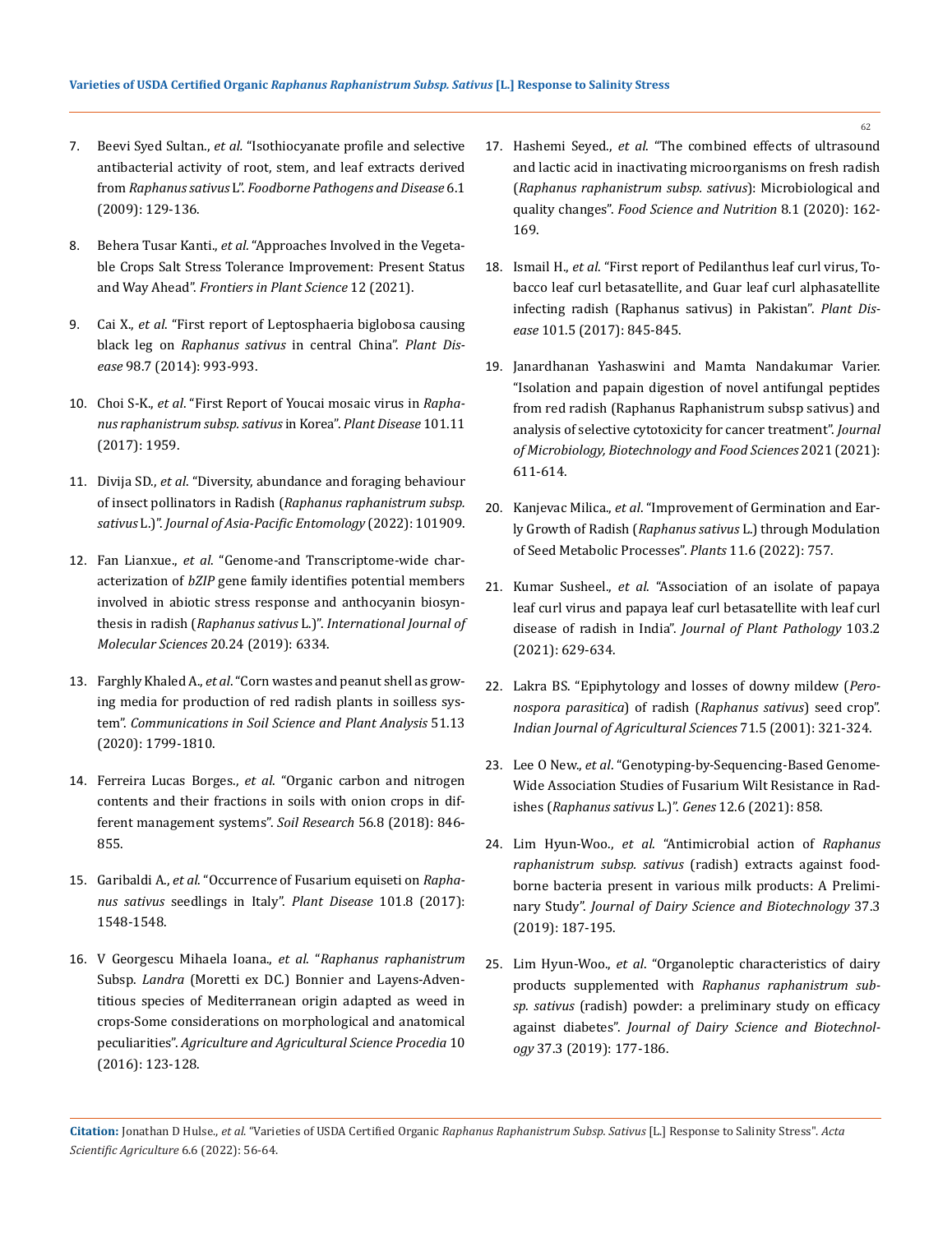- 7. Beevi Syed Sultan., *et al.* ["Isothiocyanate profile and selective](https://pubmed.ncbi.nlm.nih.gov/19182965/)  [antibacterial activity of root, stem, and leaf extracts derived](https://pubmed.ncbi.nlm.nih.gov/19182965/)  from *Raphanus sativus* L". *[Foodborne Pathogens and Disease](https://pubmed.ncbi.nlm.nih.gov/19182965/)* 6.1 [\(2009\): 129-136.](https://pubmed.ncbi.nlm.nih.gov/19182965/)
- 8. Behera Tusar Kanti., *et al.* ["Approaches Involved in the Vegeta](https://pubmed.ncbi.nlm.nih.gov/35281697/)[ble Crops Salt Stress Tolerance Improvement: Present Status](https://pubmed.ncbi.nlm.nih.gov/35281697/)  and Way Ahead". *[Frontiers in Plant Science](https://pubmed.ncbi.nlm.nih.gov/35281697/)* 12 (2021).
- 9. Cai X., *et al*[. "First report of Leptosphaeria biglobosa causing](https://pubmed.ncbi.nlm.nih.gov/30708913/)  black leg on *[Raphanus sativus](https://pubmed.ncbi.nlm.nih.gov/30708913/)* in central China". *Plant Disease* [98.7 \(2014\): 993-993.](https://pubmed.ncbi.nlm.nih.gov/30708913/)
- 10. Choi S-K., *et al*[. "First Report of Youcai mosaic virus in](https://apsjournals.apsnet.org/doi/10.1094/PDIS-05-17-0730-PDN) *Rapha[nus raphanistrum subsp. sativus](https://apsjournals.apsnet.org/doi/10.1094/PDIS-05-17-0730-PDN)* in Korea". *Plant Disease* 101.11 [\(2017\): 1959.](https://apsjournals.apsnet.org/doi/10.1094/PDIS-05-17-0730-PDN)
- 11. Divija SD., *et al*[. "Diversity, abundance and foraging behaviour](https://www.sciencedirect.com/science/article/abs/pii/S1226861522000425)  of insect pollinators in Radish (*[Raphanus raphanistrum subsp.](https://www.sciencedirect.com/science/article/abs/pii/S1226861522000425)  sativus* L.)". *[Journal of Asia-Pacific Entomology](https://www.sciencedirect.com/science/article/abs/pii/S1226861522000425)* (2022): 101909.
- 12. Fan Lianxue., *et al*[. "Genome-and Transcriptome-wide char](https://pubmed.ncbi.nlm.nih.gov/31888167/)acterization of *bZIP* [gene family identifies potential members](https://pubmed.ncbi.nlm.nih.gov/31888167/)  [involved in abiotic stress response and anthocyanin biosyn](https://pubmed.ncbi.nlm.nih.gov/31888167/)thesis in radish (*Raphanus sativus* L.)". *[International Journal of](https://pubmed.ncbi.nlm.nih.gov/31888167/)  [Molecular Sciences](https://pubmed.ncbi.nlm.nih.gov/31888167/)* 20.24 (2019): 6334.
- 13. Farghly Khaled A., *et al*[. "Corn wastes and peanut shell as grow](https://www.tandfonline.com/doi/abs/10.1080/00103624.2020.1798991)[ing media for production of red radish plants in soilless sys](https://www.tandfonline.com/doi/abs/10.1080/00103624.2020.1798991)tem". *[Communications in Soil Science and Plant Analysis](https://www.tandfonline.com/doi/abs/10.1080/00103624.2020.1798991)* 51.13 [\(2020\): 1799-1810.](https://www.tandfonline.com/doi/abs/10.1080/00103624.2020.1798991)
- 14. Ferreira Lucas Borges., *et al*[. "Organic carbon and nitrogen](https://www.researchgate.net/publication/328817208_Organic_carbon_and_nitrogen_contents_and_their_fractions_in_soils_with_onion_crops_in_different_management_systems)  [contents and their fractions in soils with onion crops in dif](https://www.researchgate.net/publication/328817208_Organic_carbon_and_nitrogen_contents_and_their_fractions_in_soils_with_onion_crops_in_different_management_systems)[ferent management systems".](https://www.researchgate.net/publication/328817208_Organic_carbon_and_nitrogen_contents_and_their_fractions_in_soils_with_onion_crops_in_different_management_systems) *Soil Research* 56.8 (2018): 846- [855.](https://www.researchgate.net/publication/328817208_Organic_carbon_and_nitrogen_contents_and_their_fractions_in_soils_with_onion_crops_in_different_management_systems)
- 15. Garibaldi A., *et al*[. "Occurrence of Fusarium equiseti on](https://apsjournals.apsnet.org/doi/10.1094/PDIS-03-17-0417-PDN) *Raphanus sativus* [seedlings in Italy".](https://apsjournals.apsnet.org/doi/10.1094/PDIS-03-17-0417-PDN) *Plant Disease* 101.8 (2017): [1548-1548.](https://apsjournals.apsnet.org/doi/10.1094/PDIS-03-17-0417-PDN)
- 16. V Georgescu Mihaela Ioana., *et al*. "*[Raphanus raphanistrum](https://pdf.sciencedirectassets.com/270703/1-s2.0-S2210784316X00046/1-s2.0-S2210784316302285/main.pdf?X-Amz-Security-Token=IQoJb3JpZ2luX2VjEMT%2F%2F%2F%2F%2F%2F%2F%2F%2F%2FwEaCXVzLWVhc3QtMSJHMEUCIQCHXwbR5K0h9tbrGbqVMI4W5HaV9534lEUEoiVk5%2FBwdAIgf66d8VgGKTalLlc%2FGZklhsukWPsWwhZhUEFw78l287oq2wQInf%2F%2F%2F%2F%2F%2F%2F%2F%2F%2FARAEGgwwNTkwMDM1NDY4NjUiDMKzNLwB6umQJywg6CqvBPA4MNlDsNgQbgDZDkraWrkhS4lw3aImiJKzL0CwQDjiASkgXk3IwdhiXeAsKtPXt3JFSNpcaZhoeDsGrktk7XUgxorlgpMF7kNBv8RkayJ7y9eUQT1YR6qPiSyBA3S3eMFTdaFQ%2FGa%2BtT8EkUsiw1JZ6cnven8je3J7t6xFSaNPb4dv%2BNgzY906uZssWugj1Wxe6GWZ8WyAmnuTfBe3bbbMYZXmiYMMHYtCCei7j%2B3YCWf1nfClNhORZJRJZqFi5cJPWh0QWf1wQzslhKPUJF0IFQYt455EM%2FgxU0y%2B29zyK20A%2F9cR9E8UZtOvRQOrHKMqTUGdZDs1bJ0LuufGTiRZeJFXmrVq2kvrCgex72Fxu2ZGkVd2ZmesI4LEt2ybOUBQD5TUGIPr0hQrpYqUJ8jeCSpukTCAse%2BYvfMvNmfkEMGhHckMjEpn1W12bvE1o%2BeykhZN9PLVRQTtEv%2BJmVSs%2BsrUkHhersMyqNEXfpWT3lOrmjtcxk4%2FmRb5YV5zBCH4oL%2BQKvOE%2ByxwTmhHNZkrommSCi4fnisJBLZZoNgfBGIEXEKqwsKKxz3YTxUScZ%2F%2FNWWOWXkJJTdW8%2BKN2XwjxRDPGcL1CNNyaLzh1afgAYAbNTRL4HbvPRBiRWavaIbgKyWNzlpQ%2FWigOOrTkktcbZmZ9PkcdtzhbZs9X6ordRnVBxYF%2Bfg8SPCDH6UEAKUL9ovQNRsOGF99YRVn5YkAD10%2F4xAgSxsMUABW4Yww9ZCHlAY6qQE86v6o3sZSfMgJSrNJSMEyOg5jAFkKPTeVCNv9uHV6qOdij%2FkK2O6JTNIZR3L%2F%2FkRe9FYcTfV0Pj2eZG17XAP9akAPSrcYSppUT2UdAZUjUrd7Vm05vlDaTbgy9t%2BH6wvr8Y%2FhBdQ7AxG%2F%2BzqfNGllMED3oKSpG%2BhYRPwiZflbeZIVelq6SNrCdNa8qNtSrMuprDaEa%2B4e0I7m52JDSTV79wGh7HpRKPzw&X-Amz-Algorithm=AWS4-HMAC-SHA256&X-Amz-Date=20220516T041747Z&X-Amz-SignedHeaders=host&X-Amz-Expires=300&X-Amz-Credential=ASIAQ3PHCVTYYAMI3IA3%2F20220516%2Fus-east-1%2Fs3%2Faws4_request&X-Amz-Signature=7bd5f9c35985298f78de89bf1ed850fae2380c18507dd5669042848f8861a083&hash=28e9bb136fbc45ee8903879acdb6e1bfaa544255ff968c97499269f404497b08&host=68042c943591013ac2b2430a89b270f6af2c76d8dfd086a07176afe7c76c2c61&pii=S2210784316302285&tid=spdf-307941f5-5f1e-4740-b9d3-e9287114b9e0&sid=c25cf7433d99a040672abae-426ac14e3797gxrqb&type=client&ua=4d54075250055c010508&rr=70c14e3dcf93c91c)* Subsp. *Landra* [\(Moretti ex DC.\) Bonnier and Layens-Adven](https://pdf.sciencedirectassets.com/270703/1-s2.0-S2210784316X00046/1-s2.0-S2210784316302285/main.pdf?X-Amz-Security-Token=IQoJb3JpZ2luX2VjEMT%2F%2F%2F%2F%2F%2F%2F%2F%2F%2FwEaCXVzLWVhc3QtMSJHMEUCIQCHXwbR5K0h9tbrGbqVMI4W5HaV9534lEUEoiVk5%2FBwdAIgf66d8VgGKTalLlc%2FGZklhsukWPsWwhZhUEFw78l287oq2wQInf%2F%2F%2F%2F%2F%2F%2F%2F%2F%2FARAEGgwwNTkwMDM1NDY4NjUiDMKzNLwB6umQJywg6CqvBPA4MNlDsNgQbgDZDkraWrkhS4lw3aImiJKzL0CwQDjiASkgXk3IwdhiXeAsKtPXt3JFSNpcaZhoeDsGrktk7XUgxorlgpMF7kNBv8RkayJ7y9eUQT1YR6qPiSyBA3S3eMFTdaFQ%2FGa%2BtT8EkUsiw1JZ6cnven8je3J7t6xFSaNPb4dv%2BNgzY906uZssWugj1Wxe6GWZ8WyAmnuTfBe3bbbMYZXmiYMMHYtCCei7j%2B3YCWf1nfClNhORZJRJZqFi5cJPWh0QWf1wQzslhKPUJF0IFQYt455EM%2FgxU0y%2B29zyK20A%2F9cR9E8UZtOvRQOrHKMqTUGdZDs1bJ0LuufGTiRZeJFXmrVq2kvrCgex72Fxu2ZGkVd2ZmesI4LEt2ybOUBQD5TUGIPr0hQrpYqUJ8jeCSpukTCAse%2BYvfMvNmfkEMGhHckMjEpn1W12bvE1o%2BeykhZN9PLVRQTtEv%2BJmVSs%2BsrUkHhersMyqNEXfpWT3lOrmjtcxk4%2FmRb5YV5zBCH4oL%2BQKvOE%2ByxwTmhHNZkrommSCi4fnisJBLZZoNgfBGIEXEKqwsKKxz3YTxUScZ%2F%2FNWWOWXkJJTdW8%2BKN2XwjxRDPGcL1CNNyaLzh1afgAYAbNTRL4HbvPRBiRWavaIbgKyWNzlpQ%2FWigOOrTkktcbZmZ9PkcdtzhbZs9X6ordRnVBxYF%2Bfg8SPCDH6UEAKUL9ovQNRsOGF99YRVn5YkAD10%2F4xAgSxsMUABW4Yww9ZCHlAY6qQE86v6o3sZSfMgJSrNJSMEyOg5jAFkKPTeVCNv9uHV6qOdij%2FkK2O6JTNIZR3L%2F%2FkRe9FYcTfV0Pj2eZG17XAP9akAPSrcYSppUT2UdAZUjUrd7Vm05vlDaTbgy9t%2BH6wvr8Y%2FhBdQ7AxG%2F%2BzqfNGllMED3oKSpG%2BhYRPwiZflbeZIVelq6SNrCdNa8qNtSrMuprDaEa%2B4e0I7m52JDSTV79wGh7HpRKPzw&X-Amz-Algorithm=AWS4-HMAC-SHA256&X-Amz-Date=20220516T041747Z&X-Amz-SignedHeaders=host&X-Amz-Expires=300&X-Amz-Credential=ASIAQ3PHCVTYYAMI3IA3%2F20220516%2Fus-east-1%2Fs3%2Faws4_request&X-Amz-Signature=7bd5f9c35985298f78de89bf1ed850fae2380c18507dd5669042848f8861a083&hash=28e9bb136fbc45ee8903879acdb6e1bfaa544255ff968c97499269f404497b08&host=68042c943591013ac2b2430a89b270f6af2c76d8dfd086a07176afe7c76c2c61&pii=S2210784316302285&tid=spdf-307941f5-5f1e-4740-b9d3-e9287114b9e0&sid=c25cf7433d99a040672abae-426ac14e3797gxrqb&type=client&ua=4d54075250055c010508&rr=70c14e3dcf93c91c)[titious species of Mediterranean origin adapted as weed in](https://pdf.sciencedirectassets.com/270703/1-s2.0-S2210784316X00046/1-s2.0-S2210784316302285/main.pdf?X-Amz-Security-Token=IQoJb3JpZ2luX2VjEMT%2F%2F%2F%2F%2F%2F%2F%2F%2F%2FwEaCXVzLWVhc3QtMSJHMEUCIQCHXwbR5K0h9tbrGbqVMI4W5HaV9534lEUEoiVk5%2FBwdAIgf66d8VgGKTalLlc%2FGZklhsukWPsWwhZhUEFw78l287oq2wQInf%2F%2F%2F%2F%2F%2F%2F%2F%2F%2FARAEGgwwNTkwMDM1NDY4NjUiDMKzNLwB6umQJywg6CqvBPA4MNlDsNgQbgDZDkraWrkhS4lw3aImiJKzL0CwQDjiASkgXk3IwdhiXeAsKtPXt3JFSNpcaZhoeDsGrktk7XUgxorlgpMF7kNBv8RkayJ7y9eUQT1YR6qPiSyBA3S3eMFTdaFQ%2FGa%2BtT8EkUsiw1JZ6cnven8je3J7t6xFSaNPb4dv%2BNgzY906uZssWugj1Wxe6GWZ8WyAmnuTfBe3bbbMYZXmiYMMHYtCCei7j%2B3YCWf1nfClNhORZJRJZqFi5cJPWh0QWf1wQzslhKPUJF0IFQYt455EM%2FgxU0y%2B29zyK20A%2F9cR9E8UZtOvRQOrHKMqTUGdZDs1bJ0LuufGTiRZeJFXmrVq2kvrCgex72Fxu2ZGkVd2ZmesI4LEt2ybOUBQD5TUGIPr0hQrpYqUJ8jeCSpukTCAse%2BYvfMvNmfkEMGhHckMjEpn1W12bvE1o%2BeykhZN9PLVRQTtEv%2BJmVSs%2BsrUkHhersMyqNEXfpWT3lOrmjtcxk4%2FmRb5YV5zBCH4oL%2BQKvOE%2ByxwTmhHNZkrommSCi4fnisJBLZZoNgfBGIEXEKqwsKKxz3YTxUScZ%2F%2FNWWOWXkJJTdW8%2BKN2XwjxRDPGcL1CNNyaLzh1afgAYAbNTRL4HbvPRBiRWavaIbgKyWNzlpQ%2FWigOOrTkktcbZmZ9PkcdtzhbZs9X6ordRnVBxYF%2Bfg8SPCDH6UEAKUL9ovQNRsOGF99YRVn5YkAD10%2F4xAgSxsMUABW4Yww9ZCHlAY6qQE86v6o3sZSfMgJSrNJSMEyOg5jAFkKPTeVCNv9uHV6qOdij%2FkK2O6JTNIZR3L%2F%2FkRe9FYcTfV0Pj2eZG17XAP9akAPSrcYSppUT2UdAZUjUrd7Vm05vlDaTbgy9t%2BH6wvr8Y%2FhBdQ7AxG%2F%2BzqfNGllMED3oKSpG%2BhYRPwiZflbeZIVelq6SNrCdNa8qNtSrMuprDaEa%2B4e0I7m52JDSTV79wGh7HpRKPzw&X-Amz-Algorithm=AWS4-HMAC-SHA256&X-Amz-Date=20220516T041747Z&X-Amz-SignedHeaders=host&X-Amz-Expires=300&X-Amz-Credential=ASIAQ3PHCVTYYAMI3IA3%2F20220516%2Fus-east-1%2Fs3%2Faws4_request&X-Amz-Signature=7bd5f9c35985298f78de89bf1ed850fae2380c18507dd5669042848f8861a083&hash=28e9bb136fbc45ee8903879acdb6e1bfaa544255ff968c97499269f404497b08&host=68042c943591013ac2b2430a89b270f6af2c76d8dfd086a07176afe7c76c2c61&pii=S2210784316302285&tid=spdf-307941f5-5f1e-4740-b9d3-e9287114b9e0&sid=c25cf7433d99a040672abae-426ac14e3797gxrqb&type=client&ua=4d54075250055c010508&rr=70c14e3dcf93c91c)  [crops-Some considerations on morphological and anatomical](https://pdf.sciencedirectassets.com/270703/1-s2.0-S2210784316X00046/1-s2.0-S2210784316302285/main.pdf?X-Amz-Security-Token=IQoJb3JpZ2luX2VjEMT%2F%2F%2F%2F%2F%2F%2F%2F%2F%2FwEaCXVzLWVhc3QtMSJHMEUCIQCHXwbR5K0h9tbrGbqVMI4W5HaV9534lEUEoiVk5%2FBwdAIgf66d8VgGKTalLlc%2FGZklhsukWPsWwhZhUEFw78l287oq2wQInf%2F%2F%2F%2F%2F%2F%2F%2F%2F%2FARAEGgwwNTkwMDM1NDY4NjUiDMKzNLwB6umQJywg6CqvBPA4MNlDsNgQbgDZDkraWrkhS4lw3aImiJKzL0CwQDjiASkgXk3IwdhiXeAsKtPXt3JFSNpcaZhoeDsGrktk7XUgxorlgpMF7kNBv8RkayJ7y9eUQT1YR6qPiSyBA3S3eMFTdaFQ%2FGa%2BtT8EkUsiw1JZ6cnven8je3J7t6xFSaNPb4dv%2BNgzY906uZssWugj1Wxe6GWZ8WyAmnuTfBe3bbbMYZXmiYMMHYtCCei7j%2B3YCWf1nfClNhORZJRJZqFi5cJPWh0QWf1wQzslhKPUJF0IFQYt455EM%2FgxU0y%2B29zyK20A%2F9cR9E8UZtOvRQOrHKMqTUGdZDs1bJ0LuufGTiRZeJFXmrVq2kvrCgex72Fxu2ZGkVd2ZmesI4LEt2ybOUBQD5TUGIPr0hQrpYqUJ8jeCSpukTCAse%2BYvfMvNmfkEMGhHckMjEpn1W12bvE1o%2BeykhZN9PLVRQTtEv%2BJmVSs%2BsrUkHhersMyqNEXfpWT3lOrmjtcxk4%2FmRb5YV5zBCH4oL%2BQKvOE%2ByxwTmhHNZkrommSCi4fnisJBLZZoNgfBGIEXEKqwsKKxz3YTxUScZ%2F%2FNWWOWXkJJTdW8%2BKN2XwjxRDPGcL1CNNyaLzh1afgAYAbNTRL4HbvPRBiRWavaIbgKyWNzlpQ%2FWigOOrTkktcbZmZ9PkcdtzhbZs9X6ordRnVBxYF%2Bfg8SPCDH6UEAKUL9ovQNRsOGF99YRVn5YkAD10%2F4xAgSxsMUABW4Yww9ZCHlAY6qQE86v6o3sZSfMgJSrNJSMEyOg5jAFkKPTeVCNv9uHV6qOdij%2FkK2O6JTNIZR3L%2F%2FkRe9FYcTfV0Pj2eZG17XAP9akAPSrcYSppUT2UdAZUjUrd7Vm05vlDaTbgy9t%2BH6wvr8Y%2FhBdQ7AxG%2F%2BzqfNGllMED3oKSpG%2BhYRPwiZflbeZIVelq6SNrCdNa8qNtSrMuprDaEa%2B4e0I7m52JDSTV79wGh7HpRKPzw&X-Amz-Algorithm=AWS4-HMAC-SHA256&X-Amz-Date=20220516T041747Z&X-Amz-SignedHeaders=host&X-Amz-Expires=300&X-Amz-Credential=ASIAQ3PHCVTYYAMI3IA3%2F20220516%2Fus-east-1%2Fs3%2Faws4_request&X-Amz-Signature=7bd5f9c35985298f78de89bf1ed850fae2380c18507dd5669042848f8861a083&hash=28e9bb136fbc45ee8903879acdb6e1bfaa544255ff968c97499269f404497b08&host=68042c943591013ac2b2430a89b270f6af2c76d8dfd086a07176afe7c76c2c61&pii=S2210784316302285&tid=spdf-307941f5-5f1e-4740-b9d3-e9287114b9e0&sid=c25cf7433d99a040672abae-426ac14e3797gxrqb&type=client&ua=4d54075250055c010508&rr=70c14e3dcf93c91c)  peculiarities". *[Agriculture and Agricultural Science Procedia](https://pdf.sciencedirectassets.com/270703/1-s2.0-S2210784316X00046/1-s2.0-S2210784316302285/main.pdf?X-Amz-Security-Token=IQoJb3JpZ2luX2VjEMT%2F%2F%2F%2F%2F%2F%2F%2F%2F%2FwEaCXVzLWVhc3QtMSJHMEUCIQCHXwbR5K0h9tbrGbqVMI4W5HaV9534lEUEoiVk5%2FBwdAIgf66d8VgGKTalLlc%2FGZklhsukWPsWwhZhUEFw78l287oq2wQInf%2F%2F%2F%2F%2F%2F%2F%2F%2F%2FARAEGgwwNTkwMDM1NDY4NjUiDMKzNLwB6umQJywg6CqvBPA4MNlDsNgQbgDZDkraWrkhS4lw3aImiJKzL0CwQDjiASkgXk3IwdhiXeAsKtPXt3JFSNpcaZhoeDsGrktk7XUgxorlgpMF7kNBv8RkayJ7y9eUQT1YR6qPiSyBA3S3eMFTdaFQ%2FGa%2BtT8EkUsiw1JZ6cnven8je3J7t6xFSaNPb4dv%2BNgzY906uZssWugj1Wxe6GWZ8WyAmnuTfBe3bbbMYZXmiYMMHYtCCei7j%2B3YCWf1nfClNhORZJRJZqFi5cJPWh0QWf1wQzslhKPUJF0IFQYt455EM%2FgxU0y%2B29zyK20A%2F9cR9E8UZtOvRQOrHKMqTUGdZDs1bJ0LuufGTiRZeJFXmrVq2kvrCgex72Fxu2ZGkVd2ZmesI4LEt2ybOUBQD5TUGIPr0hQrpYqUJ8jeCSpukTCAse%2BYvfMvNmfkEMGhHckMjEpn1W12bvE1o%2BeykhZN9PLVRQTtEv%2BJmVSs%2BsrUkHhersMyqNEXfpWT3lOrmjtcxk4%2FmRb5YV5zBCH4oL%2BQKvOE%2ByxwTmhHNZkrommSCi4fnisJBLZZoNgfBGIEXEKqwsKKxz3YTxUScZ%2F%2FNWWOWXkJJTdW8%2BKN2XwjxRDPGcL1CNNyaLzh1afgAYAbNTRL4HbvPRBiRWavaIbgKyWNzlpQ%2FWigOOrTkktcbZmZ9PkcdtzhbZs9X6ordRnVBxYF%2Bfg8SPCDH6UEAKUL9ovQNRsOGF99YRVn5YkAD10%2F4xAgSxsMUABW4Yww9ZCHlAY6qQE86v6o3sZSfMgJSrNJSMEyOg5jAFkKPTeVCNv9uHV6qOdij%2FkK2O6JTNIZR3L%2F%2FkRe9FYcTfV0Pj2eZG17XAP9akAPSrcYSppUT2UdAZUjUrd7Vm05vlDaTbgy9t%2BH6wvr8Y%2FhBdQ7AxG%2F%2BzqfNGllMED3oKSpG%2BhYRPwiZflbeZIVelq6SNrCdNa8qNtSrMuprDaEa%2B4e0I7m52JDSTV79wGh7HpRKPzw&X-Amz-Algorithm=AWS4-HMAC-SHA256&X-Amz-Date=20220516T041747Z&X-Amz-SignedHeaders=host&X-Amz-Expires=300&X-Amz-Credential=ASIAQ3PHCVTYYAMI3IA3%2F20220516%2Fus-east-1%2Fs3%2Faws4_request&X-Amz-Signature=7bd5f9c35985298f78de89bf1ed850fae2380c18507dd5669042848f8861a083&hash=28e9bb136fbc45ee8903879acdb6e1bfaa544255ff968c97499269f404497b08&host=68042c943591013ac2b2430a89b270f6af2c76d8dfd086a07176afe7c76c2c61&pii=S2210784316302285&tid=spdf-307941f5-5f1e-4740-b9d3-e9287114b9e0&sid=c25cf7433d99a040672abae-426ac14e3797gxrqb&type=client&ua=4d54075250055c010508&rr=70c14e3dcf93c91c)* 10 [\(2016\): 123-128.](https://pdf.sciencedirectassets.com/270703/1-s2.0-S2210784316X00046/1-s2.0-S2210784316302285/main.pdf?X-Amz-Security-Token=IQoJb3JpZ2luX2VjEMT%2F%2F%2F%2F%2F%2F%2F%2F%2F%2FwEaCXVzLWVhc3QtMSJHMEUCIQCHXwbR5K0h9tbrGbqVMI4W5HaV9534lEUEoiVk5%2FBwdAIgf66d8VgGKTalLlc%2FGZklhsukWPsWwhZhUEFw78l287oq2wQInf%2F%2F%2F%2F%2F%2F%2F%2F%2F%2FARAEGgwwNTkwMDM1NDY4NjUiDMKzNLwB6umQJywg6CqvBPA4MNlDsNgQbgDZDkraWrkhS4lw3aImiJKzL0CwQDjiASkgXk3IwdhiXeAsKtPXt3JFSNpcaZhoeDsGrktk7XUgxorlgpMF7kNBv8RkayJ7y9eUQT1YR6qPiSyBA3S3eMFTdaFQ%2FGa%2BtT8EkUsiw1JZ6cnven8je3J7t6xFSaNPb4dv%2BNgzY906uZssWugj1Wxe6GWZ8WyAmnuTfBe3bbbMYZXmiYMMHYtCCei7j%2B3YCWf1nfClNhORZJRJZqFi5cJPWh0QWf1wQzslhKPUJF0IFQYt455EM%2FgxU0y%2B29zyK20A%2F9cR9E8UZtOvRQOrHKMqTUGdZDs1bJ0LuufGTiRZeJFXmrVq2kvrCgex72Fxu2ZGkVd2ZmesI4LEt2ybOUBQD5TUGIPr0hQrpYqUJ8jeCSpukTCAse%2BYvfMvNmfkEMGhHckMjEpn1W12bvE1o%2BeykhZN9PLVRQTtEv%2BJmVSs%2BsrUkHhersMyqNEXfpWT3lOrmjtcxk4%2FmRb5YV5zBCH4oL%2BQKvOE%2ByxwTmhHNZkrommSCi4fnisJBLZZoNgfBGIEXEKqwsKKxz3YTxUScZ%2F%2FNWWOWXkJJTdW8%2BKN2XwjxRDPGcL1CNNyaLzh1afgAYAbNTRL4HbvPRBiRWavaIbgKyWNzlpQ%2FWigOOrTkktcbZmZ9PkcdtzhbZs9X6ordRnVBxYF%2Bfg8SPCDH6UEAKUL9ovQNRsOGF99YRVn5YkAD10%2F4xAgSxsMUABW4Yww9ZCHlAY6qQE86v6o3sZSfMgJSrNJSMEyOg5jAFkKPTeVCNv9uHV6qOdij%2FkK2O6JTNIZR3L%2F%2FkRe9FYcTfV0Pj2eZG17XAP9akAPSrcYSppUT2UdAZUjUrd7Vm05vlDaTbgy9t%2BH6wvr8Y%2FhBdQ7AxG%2F%2BzqfNGllMED3oKSpG%2BhYRPwiZflbeZIVelq6SNrCdNa8qNtSrMuprDaEa%2B4e0I7m52JDSTV79wGh7HpRKPzw&X-Amz-Algorithm=AWS4-HMAC-SHA256&X-Amz-Date=20220516T041747Z&X-Amz-SignedHeaders=host&X-Amz-Expires=300&X-Amz-Credential=ASIAQ3PHCVTYYAMI3IA3%2F20220516%2Fus-east-1%2Fs3%2Faws4_request&X-Amz-Signature=7bd5f9c35985298f78de89bf1ed850fae2380c18507dd5669042848f8861a083&hash=28e9bb136fbc45ee8903879acdb6e1bfaa544255ff968c97499269f404497b08&host=68042c943591013ac2b2430a89b270f6af2c76d8dfd086a07176afe7c76c2c61&pii=S2210784316302285&tid=spdf-307941f5-5f1e-4740-b9d3-e9287114b9e0&sid=c25cf7433d99a040672abae-426ac14e3797gxrqb&type=client&ua=4d54075250055c010508&rr=70c14e3dcf93c91c)
- 17. Hashemi Seyed., *et al*[. "The combined effects of ultrasound](https://www.researchgate.net/publication/336303390_The_combined_effects_of_ultrasound_and_lactic_acid_in_inactivating_microorganisms_on_fresh_radish_Raphanus_raphanistrum_subsp_sativus_Microbiological_and_quality_changes)  [and lactic acid in inactivating microorganisms on fresh radish](https://www.researchgate.net/publication/336303390_The_combined_effects_of_ultrasound_and_lactic_acid_in_inactivating_microorganisms_on_fresh_radish_Raphanus_raphanistrum_subsp_sativus_Microbiological_and_quality_changes)  (*[Raphanus raphanistrum subsp. sativus](https://www.researchgate.net/publication/336303390_The_combined_effects_of_ultrasound_and_lactic_acid_in_inactivating_microorganisms_on_fresh_radish_Raphanus_raphanistrum_subsp_sativus_Microbiological_and_quality_changes)*): Microbiological and quality changes". *[Food Science and Nutrition](https://www.researchgate.net/publication/336303390_The_combined_effects_of_ultrasound_and_lactic_acid_in_inactivating_microorganisms_on_fresh_radish_Raphanus_raphanistrum_subsp_sativus_Microbiological_and_quality_changes)* 8.1 (2020): 162- [169.](https://www.researchgate.net/publication/336303390_The_combined_effects_of_ultrasound_and_lactic_acid_in_inactivating_microorganisms_on_fresh_radish_Raphanus_raphanistrum_subsp_sativus_Microbiological_and_quality_changes)
- 18. Ismail H., *et al*[. "First report of Pedilanthus leaf curl virus, To](https://apsjournals.apsnet.org/doi/10.1094/PDIS-09-16-1265-PDN)[bacco leaf curl betasatellite, and Guar leaf curl alphasatellite](https://apsjournals.apsnet.org/doi/10.1094/PDIS-09-16-1265-PDN)  [infecting radish \(Raphanus sativus\) in Pakistan".](https://apsjournals.apsnet.org/doi/10.1094/PDIS-09-16-1265-PDN) *Plant Disease* [101.5 \(2017\): 845-845.](https://apsjournals.apsnet.org/doi/10.1094/PDIS-09-16-1265-PDN)
- 19. [Janardhanan Yashaswini and Mamta Nandakumar Varier.](https://www.researchgate.net/publication/325573276_Isolation_and_papain_digestion_of_novel_antifungal_peptides_from_red_radish_Raphanus_raphanistrum_subsp_sativus_and_analysis_of_selective_cytotoxicity_for_cancer_treatment)  ["Isolation and papain digestion of novel antifungal peptides](https://www.researchgate.net/publication/325573276_Isolation_and_papain_digestion_of_novel_antifungal_peptides_from_red_radish_Raphanus_raphanistrum_subsp_sativus_and_analysis_of_selective_cytotoxicity_for_cancer_treatment)  [from red radish \(Raphanus Raphanistrum subsp sativus\) and](https://www.researchgate.net/publication/325573276_Isolation_and_papain_digestion_of_novel_antifungal_peptides_from_red_radish_Raphanus_raphanistrum_subsp_sativus_and_analysis_of_selective_cytotoxicity_for_cancer_treatment)  [analysis of selective cytotoxicity for cancer treatment".](https://www.researchgate.net/publication/325573276_Isolation_and_papain_digestion_of_novel_antifungal_peptides_from_red_radish_Raphanus_raphanistrum_subsp_sativus_and_analysis_of_selective_cytotoxicity_for_cancer_treatment) *Journal [of Microbiology, Biotechnology and Food Sciences](https://www.researchgate.net/publication/325573276_Isolation_and_papain_digestion_of_novel_antifungal_peptides_from_red_radish_Raphanus_raphanistrum_subsp_sativus_and_analysis_of_selective_cytotoxicity_for_cancer_treatment)* 2021 (2021): [611-614.](https://www.researchgate.net/publication/325573276_Isolation_and_papain_digestion_of_novel_antifungal_peptides_from_red_radish_Raphanus_raphanistrum_subsp_sativus_and_analysis_of_selective_cytotoxicity_for_cancer_treatment)
- 20. Kanjevac Milica., *et al*[. "Improvement of Germination and Ear](https://pubmed.ncbi.nlm.nih.gov/35336639/)ly Growth of Radish (*Raphanus sativus* [L.\) through Modulation](https://pubmed.ncbi.nlm.nih.gov/35336639/)  [of Seed Metabolic Processes".](https://pubmed.ncbi.nlm.nih.gov/35336639/) *Plants* 11.6 (2022): 757.
- 21. Kumar Susheel., *et al*[. "Association of an isolate of papaya](https://www.researchgate.net/publication/348759903_Association_of_an_isolate_of_papaya_leaf_curl_virus_and_papaya_leaf_curl_betasatellite_with_leaf_curl_disease_of_radish_in_India)  [leaf curl virus and papaya leaf curl betasatellite with leaf curl](https://www.researchgate.net/publication/348759903_Association_of_an_isolate_of_papaya_leaf_curl_virus_and_papaya_leaf_curl_betasatellite_with_leaf_curl_disease_of_radish_in_India)  disease of radish in India". *[Journal of Plant Pathology](https://www.researchgate.net/publication/348759903_Association_of_an_isolate_of_papaya_leaf_curl_virus_and_papaya_leaf_curl_betasatellite_with_leaf_curl_disease_of_radish_in_India)* 103.2 [\(2021\): 629-634.](https://www.researchgate.net/publication/348759903_Association_of_an_isolate_of_papaya_leaf_curl_virus_and_papaya_leaf_curl_betasatellite_with_leaf_curl_disease_of_radish_in_India)
- 22. [Lakra BS. "Epiphytology and losses of downy mildew \(](https://www.researchgate.net/publication/290957463_Epiphytology_and_losses_of_downy_mildew_Peronospora_parasitica_of_radish_Raphanus_sativus_seed_crop)*Pero[nospora parasitica](https://www.researchgate.net/publication/290957463_Epiphytology_and_losses_of_downy_mildew_Peronospora_parasitica_of_radish_Raphanus_sativus_seed_crop)*) of radish (*Raphanus sativus*) seed crop". *[Indian Journal of Agricultural Sciences](https://www.researchgate.net/publication/290957463_Epiphytology_and_losses_of_downy_mildew_Peronospora_parasitica_of_radish_Raphanus_sativus_seed_crop)* 71.5 (2001): 321-324.
- 23. Lee O New., *et al*[. "Genotyping-by-Sequencing-Based Genome-](https://www.mdpi.com/2073-4425/12/6/858)[Wide Association Studies of Fusarium Wilt Resistance in Rad](https://www.mdpi.com/2073-4425/12/6/858)ishes (*[Raphanus sativus](https://www.mdpi.com/2073-4425/12/6/858)* L.)". *Genes* 12.6 (2021): 858.
- 24. Lim Hyun-Woo., *et al*[. "Antimicrobial action of](https://www.researchgate.net/publication/336381334_Antimicrobial_Action_of_Raphanus_raphanistrum_subsp_sativus_radish_Extracts_against_Foodborne_Bacteria_Present_in_Various_Milk_Products_A_Preliminary_Study) *Raphanus [raphanistrum subsp. sativus](https://www.researchgate.net/publication/336381334_Antimicrobial_Action_of_Raphanus_raphanistrum_subsp_sativus_radish_Extracts_against_Foodborne_Bacteria_Present_in_Various_Milk_Products_A_Preliminary_Study)* (radish) extracts against food[borne bacteria present in various milk products: A Prelimi](https://www.researchgate.net/publication/336381334_Antimicrobial_Action_of_Raphanus_raphanistrum_subsp_sativus_radish_Extracts_against_Foodborne_Bacteria_Present_in_Various_Milk_Products_A_Preliminary_Study)nary Study". *[Journal of Dairy Science and Biotechnology](https://www.researchgate.net/publication/336381334_Antimicrobial_Action_of_Raphanus_raphanistrum_subsp_sativus_radish_Extracts_against_Foodborne_Bacteria_Present_in_Various_Milk_Products_A_Preliminary_Study)* 37.3 [\(2019\): 187-195.](https://www.researchgate.net/publication/336381334_Antimicrobial_Action_of_Raphanus_raphanistrum_subsp_sativus_radish_Extracts_against_Foodborne_Bacteria_Present_in_Various_Milk_Products_A_Preliminary_Study)
- 25. Lim Hyun-Woo., *et al*[. "Organoleptic characteristics of dairy](https://www.semanticscholar.org/paper/Organoleptic-Characteristics-of-Dairy-Products-with-Lim-Song/aa5b8391c9b53d309a4d31cbf9510a7b1d3447f8)  products supplemented with *[Raphanus raphanistrum sub](https://www.semanticscholar.org/paper/Organoleptic-Characteristics-of-Dairy-Products-with-Lim-Song/aa5b8391c9b53d309a4d31cbf9510a7b1d3447f8)sp. sativus* [\(radish\) powder: a preliminary study on efficacy](https://www.semanticscholar.org/paper/Organoleptic-Characteristics-of-Dairy-Products-with-Lim-Song/aa5b8391c9b53d309a4d31cbf9510a7b1d3447f8)  against diabetes". *[Journal of Dairy Science and Biotechnol](https://www.semanticscholar.org/paper/Organoleptic-Characteristics-of-Dairy-Products-with-Lim-Song/aa5b8391c9b53d309a4d31cbf9510a7b1d3447f8)ogy* [37.3 \(2019\): 177-186.](https://www.semanticscholar.org/paper/Organoleptic-Characteristics-of-Dairy-Products-with-Lim-Song/aa5b8391c9b53d309a4d31cbf9510a7b1d3447f8)

**Citation:** Jonathan D Hulse., *et al*. "Varieties of USDA Certified Organic *Raphanus Raphanistrum Subsp. Sativus* [L.] Response to Salinity Stress". *Acta Scientific Agriculture* 6.6 (2022): 56-64.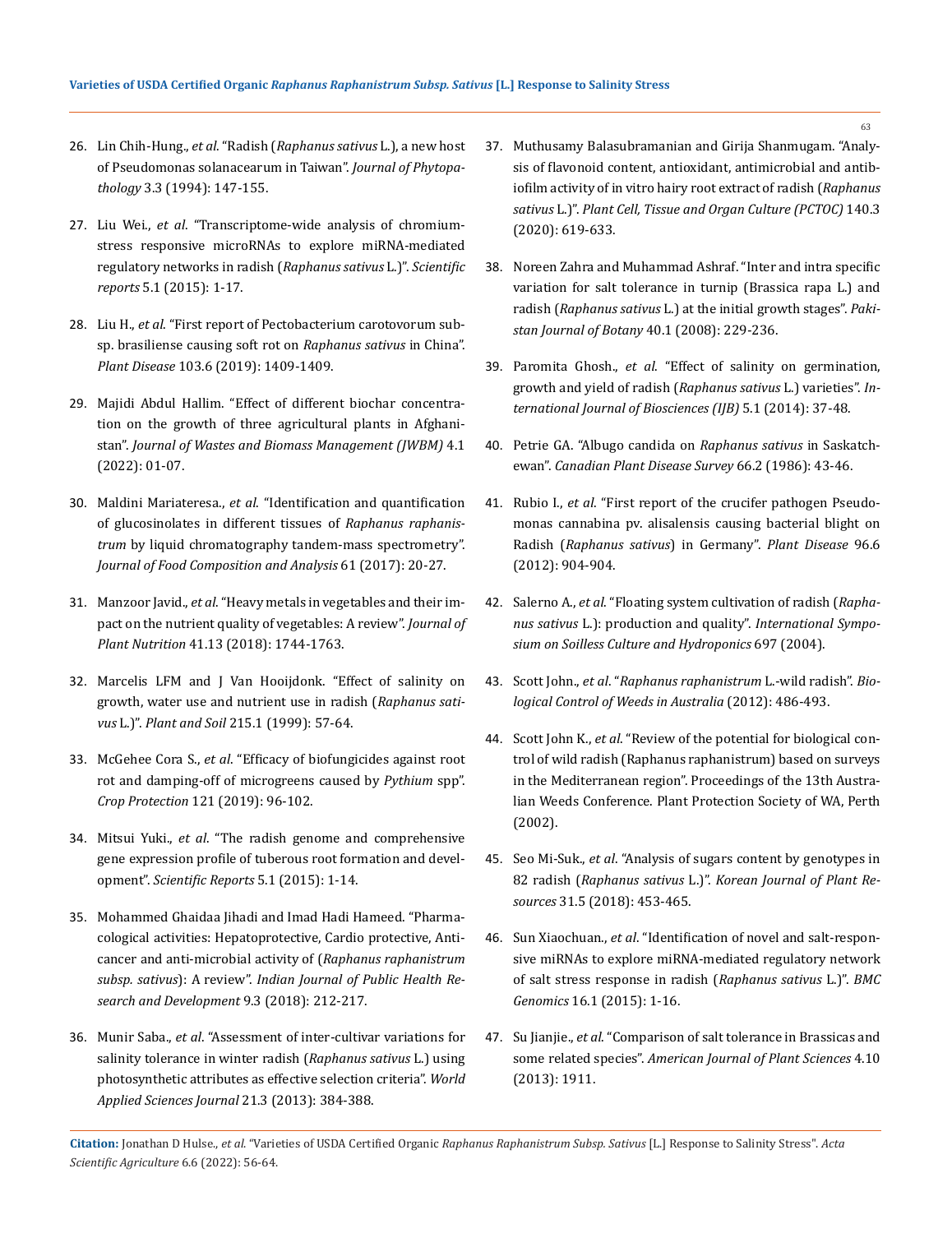- 26. Lin Chih-Hung., *et al*. "Radish (*[Raphanus sativus](https://eurekamag.com/research/002/682/002682166.php)* L.), a new host [of Pseudomonas solanacearum in Taiwan".](https://eurekamag.com/research/002/682/002682166.php) *Journal of Phytopathology* [3.3 \(1994\): 147-155.](https://eurekamag.com/research/002/682/002682166.php)
- 27. Liu Wei., *et al*[. "Transcriptome-wide analysis of chromium](https://pubmed.ncbi.nlm.nih.gov/26357995/)[stress responsive microRNAs to explore miRNA-mediated](https://pubmed.ncbi.nlm.nih.gov/26357995/)  [regulatory networks in radish \(](https://pubmed.ncbi.nlm.nih.gov/26357995/)*Raphanus sativus* L.)". *Scientific reports* [5.1 \(2015\): 1-17.](https://pubmed.ncbi.nlm.nih.gov/26357995/)
- 28. Liu H., *et al*[. "First report of Pectobacterium carotovorum sub](https://apsjournals.apsnet.org/doi/abs/10.1094/PDIS-11-18-2107-PDN)[sp. brasiliense causing soft rot on](https://apsjournals.apsnet.org/doi/abs/10.1094/PDIS-11-18-2107-PDN) *Raphanus sativus* in China". *Plant Disease* [103.6 \(2019\): 1409-1409.](https://apsjournals.apsnet.org/doi/abs/10.1094/PDIS-11-18-2107-PDN)
- 29. [Majidi Abdul Hallim. "Effect of different biochar concentra](https://jwbm.com.my/archives/1jwbm2022/1jwbm2022-01-07.pdf)[tion on the growth of three agricultural plants in Afghani](https://jwbm.com.my/archives/1jwbm2022/1jwbm2022-01-07.pdf)stan". *[Journal of Wastes and Biomass Management \(JWBM\)](https://jwbm.com.my/archives/1jwbm2022/1jwbm2022-01-07.pdf)* 4.1 [\(2022\): 01-07.](https://jwbm.com.my/archives/1jwbm2022/1jwbm2022-01-07.pdf)
- 30. Maldini Mariateresa., *et al*[. "Identification and quantification](https://www.sciencedirect.com/science/article/abs/pii/S0889157516300758)  [of glucosinolates in different tissues of](https://www.sciencedirect.com/science/article/abs/pii/S0889157516300758) *Raphanus raphanistrum* [by liquid chromatography tandem-mass spectrometry".](https://www.sciencedirect.com/science/article/abs/pii/S0889157516300758)  *[Journal of Food Composition and Analysis](https://www.sciencedirect.com/science/article/abs/pii/S0889157516300758)* 61 (2017): 20-27.
- 31. Manzoor Javid., *et al*[. "Heavy metals in vegetables and their im](https://www.tandfonline.com/doi/abs/10.1080/01904167.2018.1462382?journalCode=lpla20)[pact on the nutrient quality of vegetables: A review".](https://www.tandfonline.com/doi/abs/10.1080/01904167.2018.1462382?journalCode=lpla20) *Journal of Plant Nutrition* [41.13 \(2018\): 1744-1763.](https://www.tandfonline.com/doi/abs/10.1080/01904167.2018.1462382?journalCode=lpla20)
- 32. [Marcelis LFM and J Van Hooijdonk. "Effect of salinity on](https://link.springer.com/article/10.1023/A:1004742713538)  [growth, water use and nutrient use in radish \(](https://link.springer.com/article/10.1023/A:1004742713538)*Raphanus sativus* L.)". *Plant and Soil* [215.1 \(1999\): 57-64.](https://link.springer.com/article/10.1023/A:1004742713538)
- 33. McGehee Cora S., *et al*[. "Efficacy of biofungicides against root](https://www.sciencedirect.com/science/article/abs/pii/S0261219418303600)  [rot and damping-off of microgreens caused by](https://www.sciencedirect.com/science/article/abs/pii/S0261219418303600) *Pythium* spp". *Crop Protection* [121 \(2019\): 96-102.](https://www.sciencedirect.com/science/article/abs/pii/S0261219418303600)
- 34. Mitsui Yuki., *et al*[. "The radish genome and comprehensive](https://pubmed.ncbi.nlm.nih.gov/26056784/)  [gene expression profile of tuberous root formation and devel](https://pubmed.ncbi.nlm.nih.gov/26056784/)opment". *[Scientific Reports](https://pubmed.ncbi.nlm.nih.gov/26056784/)* 5.1 (2015): 1-14.
- 35. [Mohammed Ghaidaa Jihadi and Imad Hadi Hameed. "Pharma](https://www.researchgate.net/publication/323773020_Pharmacological_Activities_Hepatoprotective_Cardio_Protective_Anti-cancer_and_Anti-Microbial_Activity_of_Raphanus_Raphanistrum_Subsp_Sativus_A_review)[cological activities: Hepatoprotective, Cardio protective, Anti](https://www.researchgate.net/publication/323773020_Pharmacological_Activities_Hepatoprotective_Cardio_Protective_Anti-cancer_and_Anti-Microbial_Activity_of_Raphanus_Raphanistrum_Subsp_Sativus_A_review)[cancer and anti-microbial activity of \(](https://www.researchgate.net/publication/323773020_Pharmacological_Activities_Hepatoprotective_Cardio_Protective_Anti-cancer_and_Anti-Microbial_Activity_of_Raphanus_Raphanistrum_Subsp_Sativus_A_review)*Raphanus raphanistrum subsp. sativus*): A review". *[Indian Journal of Public Health Re](https://www.researchgate.net/publication/323773020_Pharmacological_Activities_Hepatoprotective_Cardio_Protective_Anti-cancer_and_Anti-Microbial_Activity_of_Raphanus_Raphanistrum_Subsp_Sativus_A_review)[search and Development](https://www.researchgate.net/publication/323773020_Pharmacological_Activities_Hepatoprotective_Cardio_Protective_Anti-cancer_and_Anti-Microbial_Activity_of_Raphanus_Raphanistrum_Subsp_Sativus_A_review)* 9.3 (2018): 212-217.
- 36. Munir Saba., *et al*[. "Assessment of inter-cultivar variations for](https://www.researchgate.net/publication/234144865_Assessment_of_Inter-Cultivar_Variations_for_Salinity_Tolerance_in_Winter_Radish_Raphanus_sativus_L_Using_Photosynthetic_Attributes_as_Effective_Selection_Criteria)  [salinity tolerance in winter radish \(](https://www.researchgate.net/publication/234144865_Assessment_of_Inter-Cultivar_Variations_for_Salinity_Tolerance_in_Winter_Radish_Raphanus_sativus_L_Using_Photosynthetic_Attributes_as_Effective_Selection_Criteria)*Raphanus sativus* L.) using [photosynthetic attributes as effective selection criteria".](https://www.researchgate.net/publication/234144865_Assessment_of_Inter-Cultivar_Variations_for_Salinity_Tolerance_in_Winter_Radish_Raphanus_sativus_L_Using_Photosynthetic_Attributes_as_Effective_Selection_Criteria) *World [Applied Sciences Journal](https://www.researchgate.net/publication/234144865_Assessment_of_Inter-Cultivar_Variations_for_Salinity_Tolerance_in_Winter_Radish_Raphanus_sativus_L_Using_Photosynthetic_Attributes_as_Effective_Selection_Criteria)* 21.3 (2013): 384-388.
- 37. [Muthusamy Balasubramanian and Girija Shanmugam. "Analy](https://www.researchgate.net/publication/339253074_Analysis_of_flavonoid_content_antioxidant_antimicrobial_and_antibiofilm_activity_of_in_vitro_hairy_root_extract_of_radish_Raphanus_sativus_L)[sis of flavonoid content, antioxidant, antimicrobial and antib](https://www.researchgate.net/publication/339253074_Analysis_of_flavonoid_content_antioxidant_antimicrobial_and_antibiofilm_activity_of_in_vitro_hairy_root_extract_of_radish_Raphanus_sativus_L)[iofilm activity of in vitro hairy root extract of radish \(](https://www.researchgate.net/publication/339253074_Analysis_of_flavonoid_content_antioxidant_antimicrobial_and_antibiofilm_activity_of_in_vitro_hairy_root_extract_of_radish_Raphanus_sativus_L)*Raphanus sativus* L.)". *[Plant Cell, Tissue and Organ Culture \(PCTOC\)](https://www.researchgate.net/publication/339253074_Analysis_of_flavonoid_content_antioxidant_antimicrobial_and_antibiofilm_activity_of_in_vitro_hairy_root_extract_of_radish_Raphanus_sativus_L)* 140.3 [\(2020\): 619-633.](https://www.researchgate.net/publication/339253074_Analysis_of_flavonoid_content_antioxidant_antimicrobial_and_antibiofilm_activity_of_in_vitro_hairy_root_extract_of_radish_Raphanus_sativus_L)
- 38. [Noreen Zahra and Muhammad Ashraf. "Inter and intra specific](https://www.researchgate.net/publication/228652842_Inter_and_intra_specific_variation_for_salt_tolerance_in_Turnip_Brassica_rapa_L_and_Radish_Raphanus_sativus_L_at_the_initial_growth_stages)  [variation for salt tolerance in turnip \(Brassica rapa L.\) and](https://www.researchgate.net/publication/228652842_Inter_and_intra_specific_variation_for_salt_tolerance_in_Turnip_Brassica_rapa_L_and_Radish_Raphanus_sativus_L_at_the_initial_growth_stages)  radish (*Raphanus sativus* [L.\) at the initial growth stages".](https://www.researchgate.net/publication/228652842_Inter_and_intra_specific_variation_for_salt_tolerance_in_Turnip_Brassica_rapa_L_and_Radish_Raphanus_sativus_L_at_the_initial_growth_stages) *Paki[stan Journal of Botany](https://www.researchgate.net/publication/228652842_Inter_and_intra_specific_variation_for_salt_tolerance_in_Turnip_Brassica_rapa_L_and_Radish_Raphanus_sativus_L_at_the_initial_growth_stages)* 40.1 (2008): 229-236.
- 39. Paromita Ghosh., *et al*[. "Effect of salinity on germination,](https://www.researchgate.net/publication/321570822_Effect_of_salinity_on_germination_growth_and_yield_of_radish_Raphanus_Sativus_L_varieties)  [growth and yield of radish \(](https://www.researchgate.net/publication/321570822_Effect_of_salinity_on_germination_growth_and_yield_of_radish_Raphanus_Sativus_L_varieties)*Raphanus sativus* L.) varieties". *In[ternational Journal of Biosciences \(IJB\)](https://www.researchgate.net/publication/321570822_Effect_of_salinity_on_germination_growth_and_yield_of_radish_Raphanus_Sativus_L_varieties)* 5.1 (2014): 37-48.
- 40. [Petrie GA. "Albugo candida on](https://phytopath.ca/wp-content/uploads/2014/10/cpds-archive/vol66/CPDS_Vol_66_No_2_(43-48)1986.pdf) *Raphanus sativus* in Saskatchewan". *[Canadian Plant Disease Survey](https://phytopath.ca/wp-content/uploads/2014/10/cpds-archive/vol66/CPDS_Vol_66_No_2_(43-48)1986.pdf)* 66.2 (1986): 43-46.
- 41. Rubio I., *et al*[. "First report of the crucifer pathogen Pseudo](https://pubmed.ncbi.nlm.nih.gov/30727393/)[monas cannabina pv. alisalensis causing bacterial blight on](https://pubmed.ncbi.nlm.nih.gov/30727393/)  Radish (*[Raphanus sativus](https://pubmed.ncbi.nlm.nih.gov/30727393/)*) in Germany". *Plant Disease* 96.6 [\(2012\): 904-904.](https://pubmed.ncbi.nlm.nih.gov/30727393/)
- 42. Salerno A., *et al*[. "Floating system cultivation of radish \(](https://www.researchgate.net/publication/267963803_Floating_System_Cultivation_of_Radish_Raphanus_sativus_L_Production_and_Quality)*Raphanus sativus* [L.\): production and quality".](https://www.researchgate.net/publication/267963803_Floating_System_Cultivation_of_Radish_Raphanus_sativus_L_Production_and_Quality) *International Sympo[sium on Soilless Culture and Hydroponics](https://www.researchgate.net/publication/267963803_Floating_System_Cultivation_of_Radish_Raphanus_sativus_L_Production_and_Quality)* 697 (2004).
- 43. Scott John., *et al*. "*[Raphanus raphanistrum](https://www.cabi.org/isc/datasheet/46795)* L.-wild radish". *Bio[logical Control of Weeds in Australia](https://www.cabi.org/isc/datasheet/46795)* (2012): 486-493.
- 44. Scott John K., *et al*[. "Review of the potential for biological con](https://eurekamag.com/research/003/920/003920197.php)[trol of wild radish \(Raphanus raphanistrum\) based on surveys](https://eurekamag.com/research/003/920/003920197.php)  [in the Mediterranean region". Proceedings of the 13th Austra](https://eurekamag.com/research/003/920/003920197.php)[lian Weeds Conference. Plant Protection Society of WA, Perth](https://eurekamag.com/research/003/920/003920197.php)  [\(2002\).](https://eurekamag.com/research/003/920/003920197.php)
- 45. Seo Mi-Suk., *et al*[. "Analysis of sugars content by genotypes in](http://koreascience.or.kr/article/JAKO201835858343743.page)  82 radish (*Raphanus sativus* L.)". *[Korean Journal of Plant Re](http://koreascience.or.kr/article/JAKO201835858343743.page)sources* [31.5 \(2018\): 453-465.](http://koreascience.or.kr/article/JAKO201835858343743.page)
- 46. Sun Xiaochuan., *et al*[. "Identification of novel and salt-respon](https://www.ncbi.nlm.nih.gov/pmc/articles/PMC4381364/)[sive miRNAs to explore miRNA-mediated regulatory network](https://www.ncbi.nlm.nih.gov/pmc/articles/PMC4381364/)  [of salt stress response in radish \(](https://www.ncbi.nlm.nih.gov/pmc/articles/PMC4381364/)*Raphanus sativus* L.)". *BMC Genomics* [16.1 \(2015\): 1-16.](https://www.ncbi.nlm.nih.gov/pmc/articles/PMC4381364/)
- 47. Su Jianjie., *et al*[. "Comparison of salt tolerance in Brassicas and](https://www.researchgate.net/publication/276493872_Comparison_of_Salt_Tolerance_in_Brassicas_and_Some_Related_Species)  some related species". *[American Journal of Plant Sciences](https://www.researchgate.net/publication/276493872_Comparison_of_Salt_Tolerance_in_Brassicas_and_Some_Related_Species)* 4.10 [\(2013\): 1911.](https://www.researchgate.net/publication/276493872_Comparison_of_Salt_Tolerance_in_Brassicas_and_Some_Related_Species)

**Citation:** Jonathan D Hulse., *et al*. "Varieties of USDA Certified Organic *Raphanus Raphanistrum Subsp. Sativus* [L.] Response to Salinity Stress". *Acta Scientific Agriculture* 6.6 (2022): 56-64.